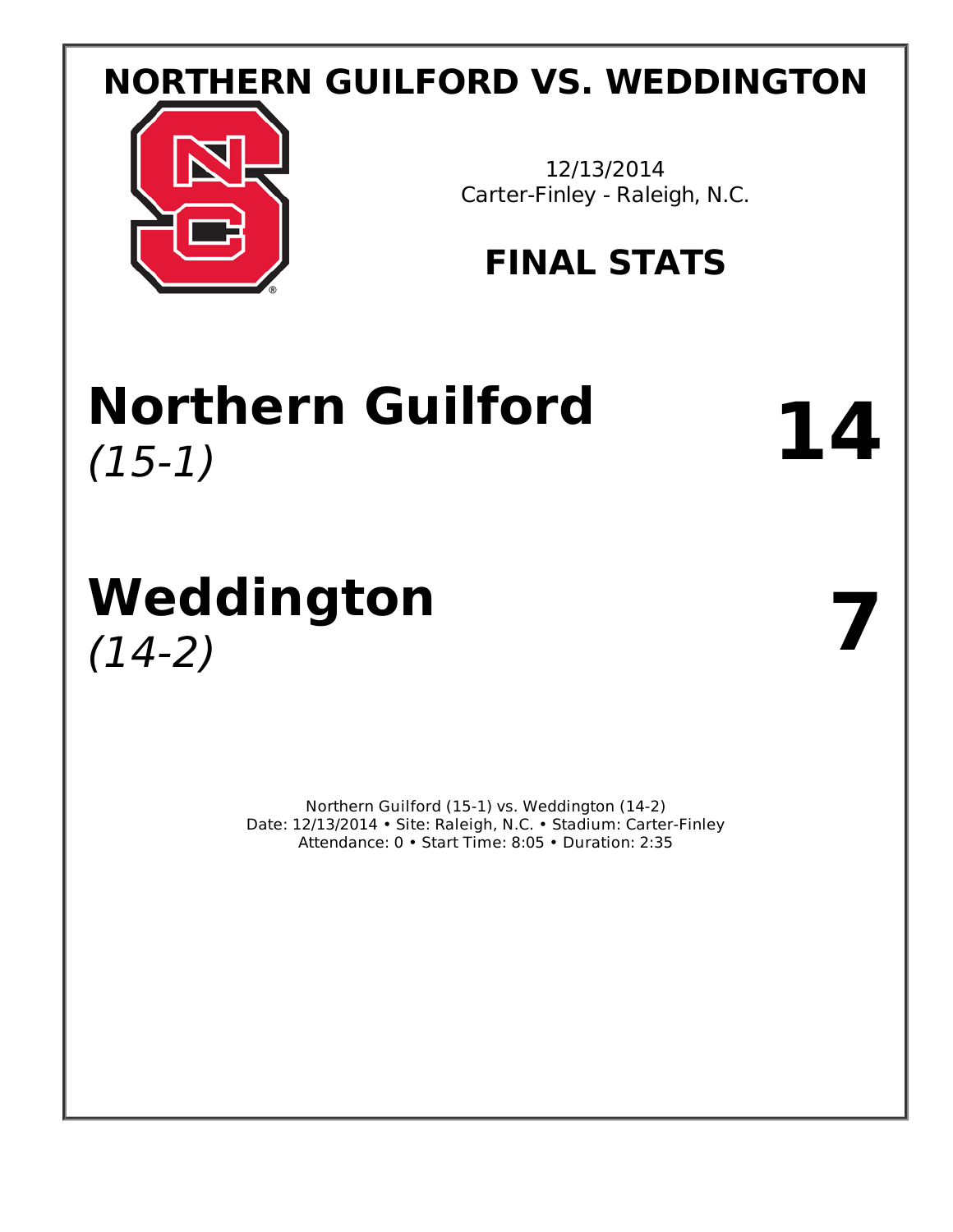# **NORTHERN GUILFORD VS. WEDDINGTON**



12/13/2014 Carter-Finley - Raleigh, N.C.

# **FINAL STATS**

# **Northern Guilford** 14

# **Weddington** (14-2) **7**

Northern Guilford (15-1) vs. Weddington (14-2) Date: 12/13/2014 • Site: Raleigh, N.C. • Stadium: Carter-Finley Attendance: 0 • Start Time: 8:05 • Duration: 2:35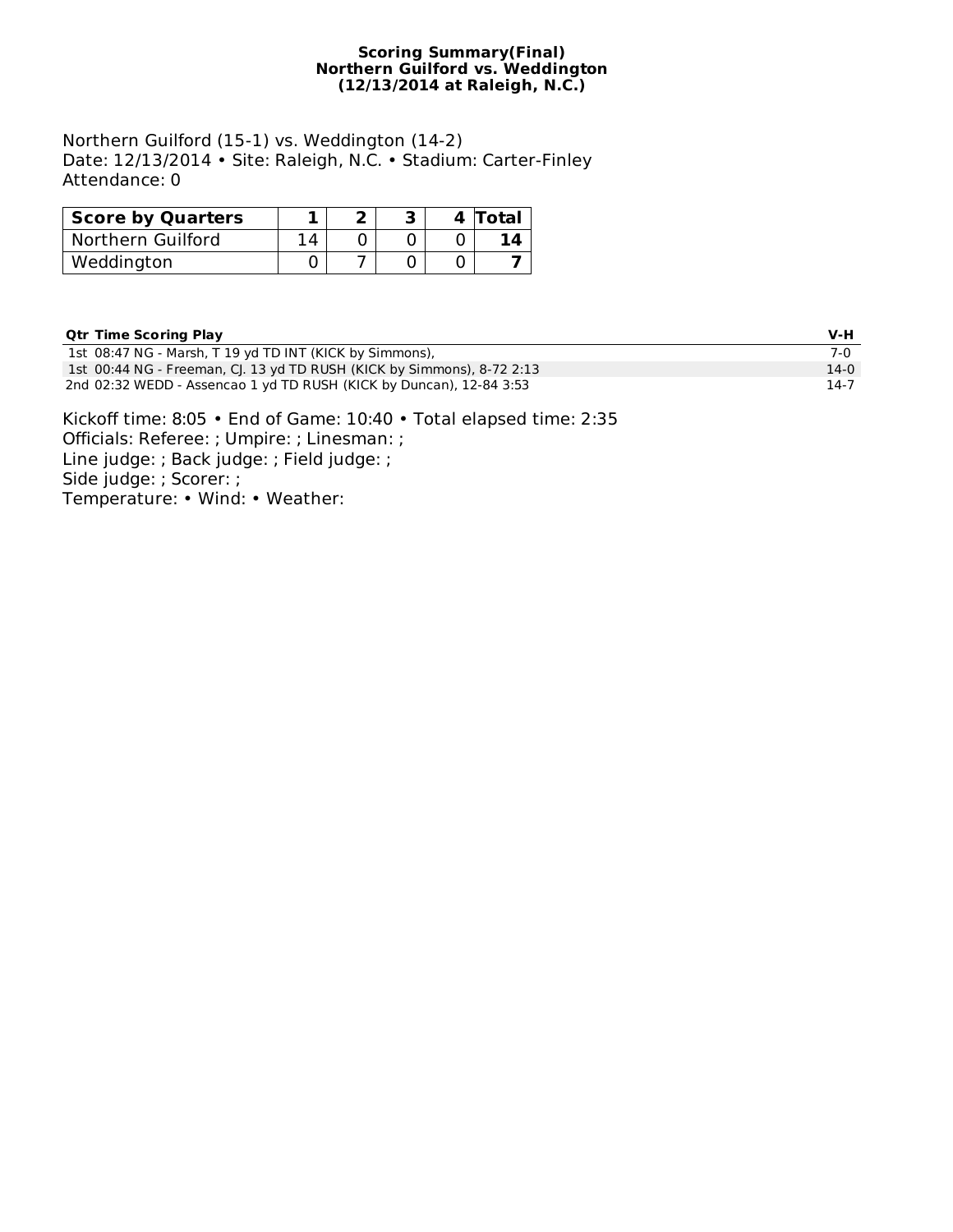#### **Scoring Summary(Final) Northern Guilford vs. Weddington (12/13/2014 at Raleigh, N.C.)**

Northern Guilford (15-1) vs. Weddington (14-2) Date: 12/13/2014 • Site: Raleigh, N.C. • Stadium: Carter-Finley Attendance: 0

| <b>Score by Quarters</b> |    |  | 4 Total |
|--------------------------|----|--|---------|
| Northern Guilford        | 14 |  |         |
| Weddington               |    |  |         |

## **Qtr Time Scoring Play V-H**

| <b>PUT INDEPCTING FRIE</b>                                             | .      |
|------------------------------------------------------------------------|--------|
| 1st 08:47 NG - Marsh, T 19 yd TD INT (KICK by Simmons),                | 7-0    |
| 1st 00:44 NG - Freeman, CJ. 13 yd TD RUSH (KICK by Simmons), 8-72 2:13 | $14-0$ |
| 2nd 02:32 WEDD - Assencao 1 yd TD RUSH (KICK by Duncan), 12-84 3:53    | 14-7   |

Kickoff time: 8:05 • End of Game: 10:40 • Total elapsed time: 2:35 Officials: Referee: ; Umpire: ; Linesman: ; Line judge: ; Back judge: ; Field judge: ; Side judge: ; Scorer: ; Temperature: • Wind: • Weather: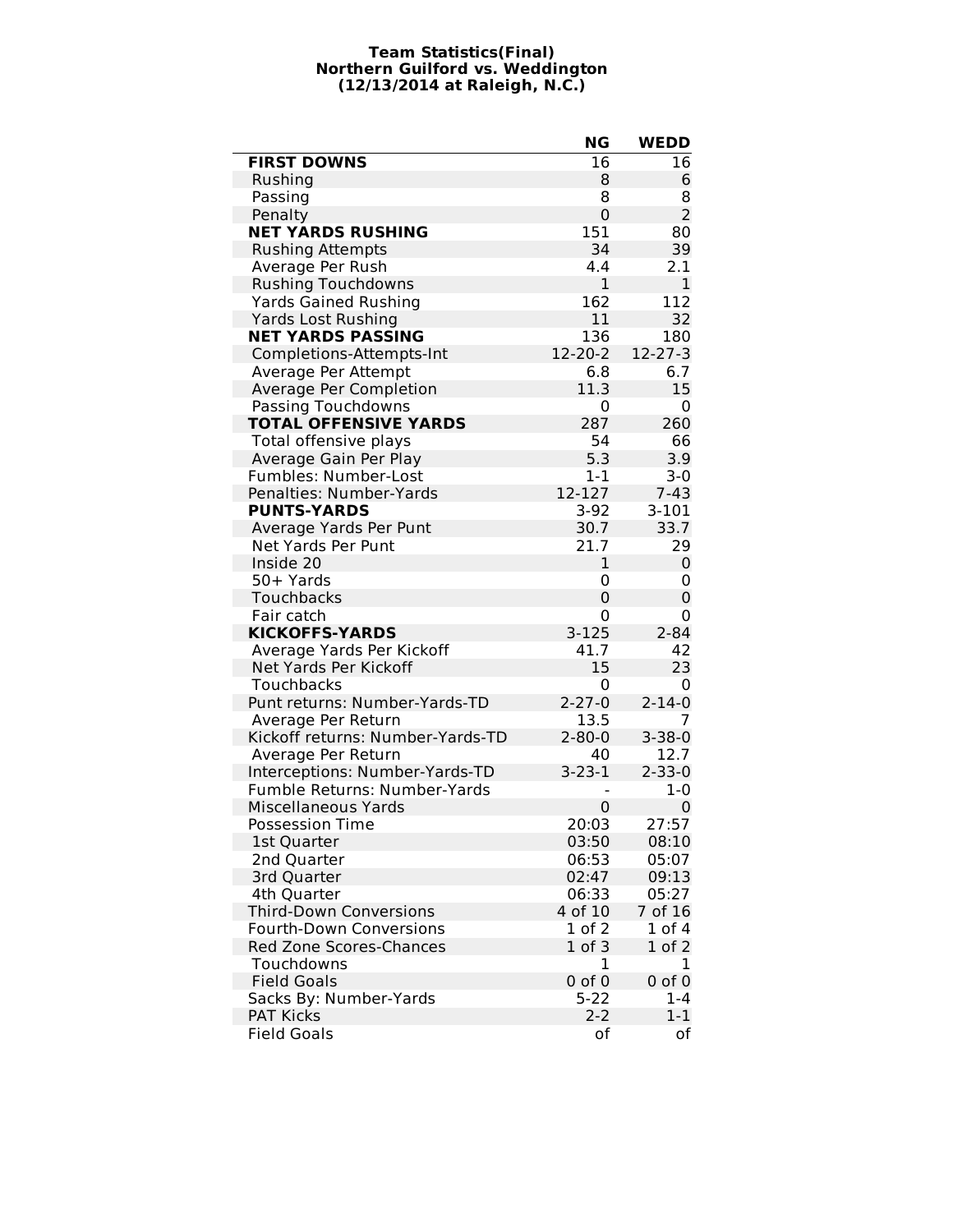#### **Team Statistics(Final) Northern Guilford vs. Weddington (12/13/2014 at Raleigh, N.C.)**

|                                  | ΝG             | <b>WEDD</b>    |
|----------------------------------|----------------|----------------|
| <b>FIRST DOWNS</b>               | 16             | 16             |
| Rushing                          | 8              | 6              |
| Passing                          | 8              | 8              |
| Penalty                          | $\mathbf 0$    | $\overline{2}$ |
| <b>NET YARDS RUSHING</b>         | 151            | 80             |
| <b>Rushing Attempts</b>          | 34             | 39             |
| Average Per Rush                 | 4.4            | 2.1            |
| <b>Rushing Touchdowns</b>        | $\mathbf{1}$   | 1              |
| <b>Yards Gained Rushing</b>      | 162            | 112            |
| <b>Yards Lost Rushing</b>        | 11             | 32             |
| <b>NET YARDS PASSING</b>         | 136            | 180            |
| Completions-Attempts-Int         | $12 - 20 - 2$  | $12 - 27 - 3$  |
| Average Per Attempt              | 6.8            | 6.7            |
| Average Per Completion           | 11.3           | 15             |
| Passing Touchdowns               | 0              | 0              |
| <b>TOTAL OFFENSIVE YARDS</b>     | 287            | 260            |
| Total offensive plays            | 54             | 66             |
| Average Gain Per Play            | 5.3            | 3.9            |
| <b>Fumbles: Number-Lost</b>      | $1 - 1$        | $3-0$          |
| Penalties: Number-Yards          | 12-127         | $7 - 43$       |
| <b>PUNTS-YARDS</b>               | $3-92$         | $3 - 101$      |
| Average Yards Per Punt           | 30.7           | 33.7           |
| Net Yards Per Punt               | 21.7           | 29             |
| Inside 20                        | 1              | 0              |
| 50+ Yards                        | 0              | 0              |
| Touchbacks                       | $\overline{0}$ | 0              |
| Fair catch                       | 0              | 0              |
| <b>KICKOFFS-YARDS</b>            | $3 - 125$      | $2 - 84$       |
| Average Yards Per Kickoff        | 41.7           | 42             |
| Net Yards Per Kickoff            | 15             | 23             |
| Touchbacks                       | 0              | 0              |
| Punt returns: Number-Yards-TD    | $2 - 27 - 0$   | $2 - 14 - 0$   |
| Average Per Return               | 13.5           | 7              |
| Kickoff returns: Number-Yards-TD | $2 - 80 - 0$   | $3 - 38 - 0$   |
| Average Per Return               | 40             | 12.7           |
| Interceptions: Number-Yards-TD   | $3 - 23 - 1$   | $2 - 33 - 0$   |
| Fumble Returns: Number-Yards     |                | $1 - 0$        |
| <b>Miscellaneous Yards</b>       | $\mathbf 0$    | 0              |
| <b>Possession Time</b>           | 20:03          | 27:57          |
| 1st Quarter                      | 03:50          | 08:10          |
| 2nd Quarter                      | 06:53          | 05:07          |
| 3rd Quarter                      | 02:47          | 09:13          |
| 4th Quarter                      | 06:33          | 05:27          |
| <b>Third-Down Conversions</b>    | 4 of 10        | 7 of 16        |
| <b>Fourth-Down Conversions</b>   | $1$ of $2$     | $1$ of $4$     |
| <b>Red Zone Scores-Chances</b>   | $1$ of $3$     | $1$ of $2$     |
| Touchdowns                       | 1              | 1              |
| <b>Field Goals</b>               | $0$ of $0$     | $0$ of $0$     |
| Sacks By: Number-Yards           | $5 - 22$       | $1 - 4$        |
| <b>PAT Kicks</b>                 | $2 - 2$        | $1 - 1$        |
| <b>Field Goals</b>               | оf             | οf             |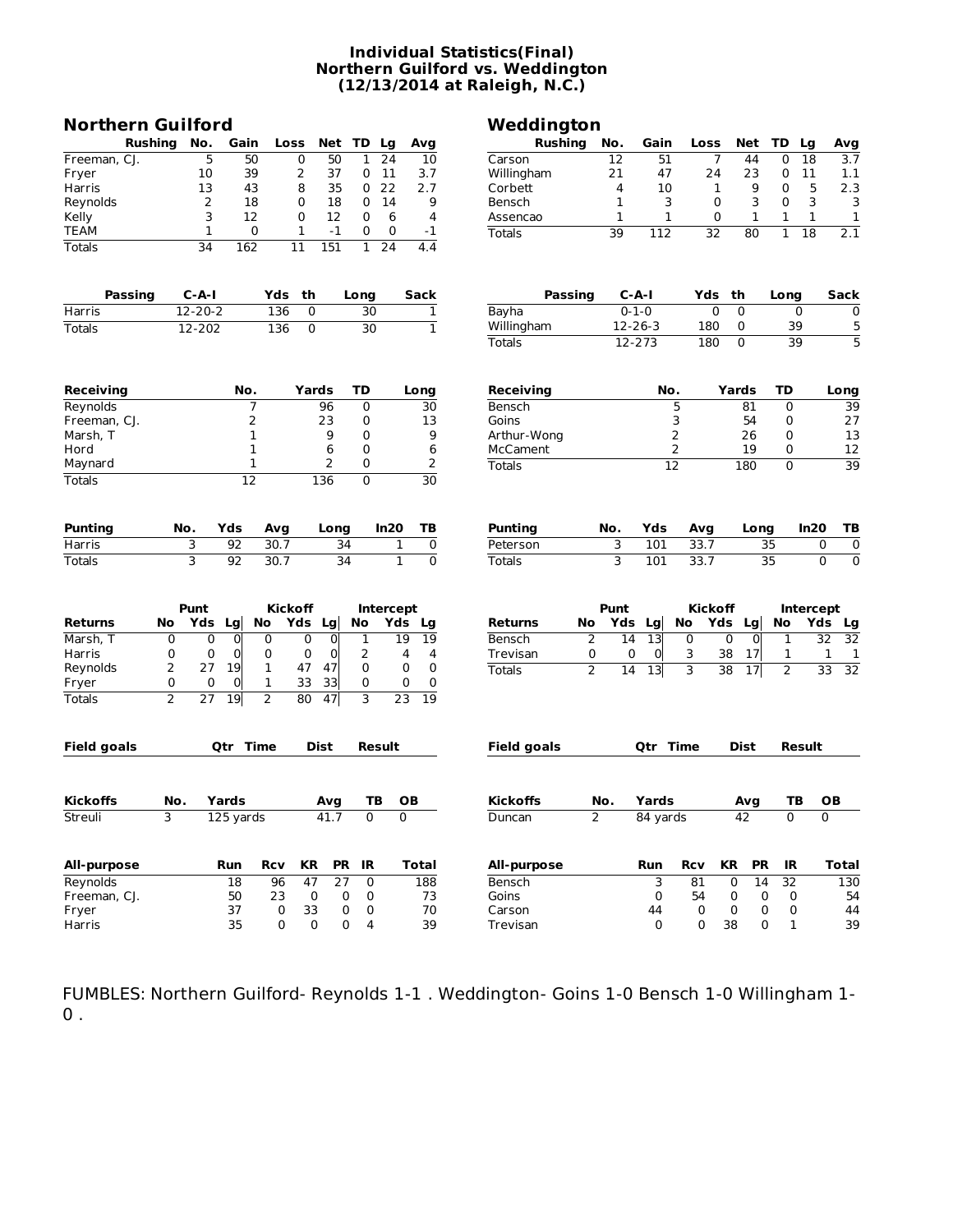#### **Individual Statistics(Final) Northern Guilford vs. Weddington (12/13/2014 at Raleigh, N.C.)**

| <b>Northern Guilford</b> |                |                 |                 |            |                 |                 |                 |                  |                 |                 | Weddington         |                |               |                 |                 |           |                 |                |                  |                 |
|--------------------------|----------------|-----------------|-----------------|------------|-----------------|-----------------|-----------------|------------------|-----------------|-----------------|--------------------|----------------|---------------|-----------------|-----------------|-----------|-----------------|----------------|------------------|-----------------|
| <b>Rushing</b>           |                | No.             | Gain            |            | Loss            | Net             | TD              | Lg               | Avg             |                 | <b>Rushing</b>     |                | No.           | Gain            | Loss            | Net       |                 | TD             | Lg               | Avg             |
| Freeman, CJ.             |                | 5               | 50              |            | 0               | 50              | 1               | 24               | 10              | Carson          |                    |                | 12            | 51              | 7               |           | 44              | 0              | 18               | 3.7             |
| Fryer                    |                | 10              | 39              |            | 2               | 37              | 0               | 11               | 3.7             |                 | Willingham         |                | 21            | 47              | 24              |           | 23              | 0              | 11               | 1.1             |
| Harris                   |                | 13              | 43              |            | 8               | 35              | 0               | 22               | 2.7             | Corbett         |                    |                | 4             | 10              | 1               |           | 9               | 0              | 5                | 2.3             |
| Reynolds                 |                | 2               | 18              |            | 0               | 18              | 0               | 14               | 9               | Bensch          |                    |                | 1             | 3               | 0               |           | 3               | 0              | 3                | 3               |
| Kelly                    |                | 3               | 12              |            | 0               | 12              | 0               | 6                | 4               | Assencao        |                    |                | 1             | 1               | 0               |           | 1               | 1              | 1                | 1               |
| TEAM                     |                | 1               | 0               |            | 1               | $-1$            | 0               | 0                | -1              | <b>Totals</b>   |                    |                | 39            | 112             | $\overline{32}$ |           | 80              | $\mathbf{1}$   | $\overline{18}$  | 2.1             |
| <b>Totals</b>            |                | $\overline{34}$ | 162             |            | $\overline{11}$ | 151             | $\mathbf{1}$    | 24               | 4.4             |                 |                    |                |               |                 |                 |           |                 |                |                  |                 |
| Passing                  |                | $C - A - I$     |                 | Yds        | th              |                 | Long            |                  | Sack            |                 | <b>Passing</b>     |                | C-A-I         |                 |                 | Yds th    |                 | Long           |                  | Sack            |
| Harris                   |                | $12 - 20 - 2$   |                 | 136        | 0               |                 | 30              |                  | 1               | Bayha           |                    |                | $0 - 1 - 0$   |                 | 0               | 0         |                 |                | 0                | 0               |
| Totals                   |                | 12-202          |                 | 136        | 0               |                 | $\overline{30}$ |                  | $\mathbf{1}$    |                 | Willingham         |                | $12 - 26 - 3$ |                 | 180             | 0         |                 | 39             |                  | 5               |
|                          |                |                 |                 |            |                 |                 |                 |                  |                 | <b>Totals</b>   |                    |                | 12-273        |                 | 180             | 0         |                 | 39             |                  | $\overline{5}$  |
|                          |                |                 |                 |            |                 |                 |                 |                  |                 |                 |                    |                |               |                 |                 |           |                 |                |                  |                 |
| Receiving                |                |                 | No.             |            | Yards           |                 | TD              |                  | Long            |                 | Receiving          |                |               | No.             |                 | Yards     |                 | TD             |                  | Long            |
| Reynolds                 |                |                 | 7               |            |                 | 96              | 0               |                  | 30              | Bensch          |                    |                |               | 5               |                 |           | 81              | 0              |                  | 39              |
| Freeman, CJ.             |                |                 | 2               |            |                 | 23              | 0               |                  | 13              | Goins           |                    |                |               | 3               |                 |           | 54              | 0              |                  | 27              |
| Marsh, T                 |                |                 | 1               |            |                 | 9               | 0               |                  | 9               |                 | Arthur-Wong        |                |               | 2               |                 |           | 26              | 0              |                  | 13              |
| Hord                     |                |                 | 1               |            |                 | 6               | 0               |                  | 6               | McCament        |                    |                |               | 2               |                 |           | 19              | 0              |                  | 12              |
| Maynard                  |                |                 | 1               |            |                 | 2               | 0               |                  | 2               | Totals          |                    |                |               | $\overline{12}$ |                 | 180       |                 | $\mathbf 0$    |                  | 39              |
| <b>Totals</b>            |                |                 | $\overline{12}$ |            |                 | 136             | 0               |                  | $\overline{30}$ |                 |                    |                |               |                 |                 |           |                 |                |                  |                 |
|                          |                |                 |                 |            |                 |                 |                 |                  |                 |                 |                    |                |               |                 |                 |           |                 |                |                  |                 |
| <b>Punting</b>           | No.            |                 | Yds             | Avg        |                 | Long            |                 | In20             | ΤВ              | Punting         |                    |                | No.           | Yds             | Avg             |           | Long            |                | In20             | ΤВ              |
| Harris                   | 3              |                 | 92              | 30.7       |                 | 34              |                 | 1                | 0               | Peterson        |                    |                | 3             | 101             | 33.7            |           | 35              |                | 0                | 0               |
| <b>Totals</b>            | 3              |                 | 92              | 30.7       |                 | 34              |                 | 1                | $\overline{0}$  | <b>Totals</b>   |                    |                | 3             | 101             | 33.7            |           | $\overline{35}$ |                | $\overline{0}$   | $\overline{0}$  |
|                          | Punt           |                 |                 |            | <b>Kickoff</b>  |                 |                 | <b>Intercept</b> |                 |                 |                    |                | Punt          |                 | <b>Kickoff</b>  |           |                 |                | <b>Intercept</b> |                 |
| Returns                  | No             | Yds             | <b>Lg</b>       | No         | Yds Lg          |                 | No              | Yds              | Lg              | <b>Returns</b>  |                    | No             | Yds Lg        |                 | No              | Yds<br>Lg |                 | No             | Yds              | Lg              |
| Marsh, T                 | 0              | 0               | 0               | 0          | 0               | $\overline{0}$  | 1               |                  | 19<br>19        | Bensch          |                    | 2              | 14            | 13              | 0               | 0         | $\overline{0}$  | 1              |                  | 32<br>32        |
| Harris                   | 0              | 0               | 0               | 0          | 0               | 0               | 2               |                  | 4<br>4          | Trevisan        |                    | 0              | 0             | 0               | 3               | 38        | 17              | 1              |                  | 1<br>1          |
| Reynolds                 | $\overline{2}$ | 27              | 19              | 1          | 47              | 47              | 0               |                  | 0<br>0          |                 |                    |                |               |                 |                 |           |                 |                |                  | $\overline{32}$ |
|                          | 0              | 0               | 0               | 1          | 33              | 33              | 0               |                  | 0<br>0          | <b>Totals</b>   |                    | $\overline{2}$ | 14            | 13              | 3               | 38        | 17              | 2              |                  | 33              |
| Fryer<br>Totals          | $\overline{2}$ | 27              | 19              | 2          | 80              | 47              | 3               |                  | 19<br>23        |                 |                    |                |               |                 |                 |           |                 |                |                  |                 |
|                          |                |                 |                 |            |                 |                 |                 |                  |                 |                 |                    |                |               |                 |                 |           |                 |                |                  |                 |
| <b>Field goals</b>       |                |                 | <b>Qtr</b> Time |            |                 | Dist            |                 | Result           |                 |                 | <b>Field goals</b> |                |               | <b>Otr Time</b> |                 | Dist      |                 |                | Result           |                 |
|                          |                |                 |                 |            |                 |                 |                 |                  |                 |                 |                    |                |               |                 |                 |           |                 |                |                  |                 |
| <b>Kickoffs</b>          | No.            |                 | Yards           |            |                 | Avg             | TВ              |                  | OВ              | <b>Kickoffs</b> |                    | No.            |               | Yards           |                 | Avg       |                 | ΤВ             |                  | <b>OB</b>       |
| Streuli                  | 3              |                 | 125 yards       |            |                 | 41.7            | 0               |                  | $\overline{0}$  | Duncan          |                    | $\overline{2}$ |               | 84 yards        |                 | 42        |                 | $\overline{0}$ |                  | 0               |
| All-purpose              |                |                 | Run             | <b>Rcv</b> | KR              | <b>PR</b>       | IR              |                  | <b>Total</b>    |                 | All-purpose        |                |               | Run             | <b>Rcv</b>      | KR        | <b>PR</b>       | IR             |                  | <b>Total</b>    |
| Reynolds                 |                |                 | $\overline{18}$ | 96         | 47              | $\overline{27}$ | $\overline{0}$  |                  | 188             | Bensch          |                    |                |               | 3               | 81              | 0         | 14              | 32             |                  | 130             |
| Freeman, CJ.             |                |                 | 50              | 23         | $\mathbf 0$     | 0               | $\mathbf 0$     |                  | 73              | Goins           |                    |                |               | 0               | 54              | 0         | 0               | 0              |                  | 54              |
| Fryer                    |                |                 | 37              | 0          | 33              | 0               | 0               |                  | 70              | Carson          |                    |                |               | 44              | 0               | 0         | 0               | 0              |                  | 44              |
| Harris                   |                |                 | 35              | 0          | 0               | 0               | 4               |                  | 39              | Trevisan        |                    |                |               | 0               | 0               | 38        | 0               | $\mathbf 1$    |                  | 39              |
|                          |                |                 |                 |            |                 |                 |                 |                  |                 |                 |                    |                |               |                 |                 |           |                 |                |                  |                 |

FUMBLES: Northern Guilford- Reynolds 1-1 . Weddington- Goins 1-0 Bensch 1-0 Willingham 1-  $0$ .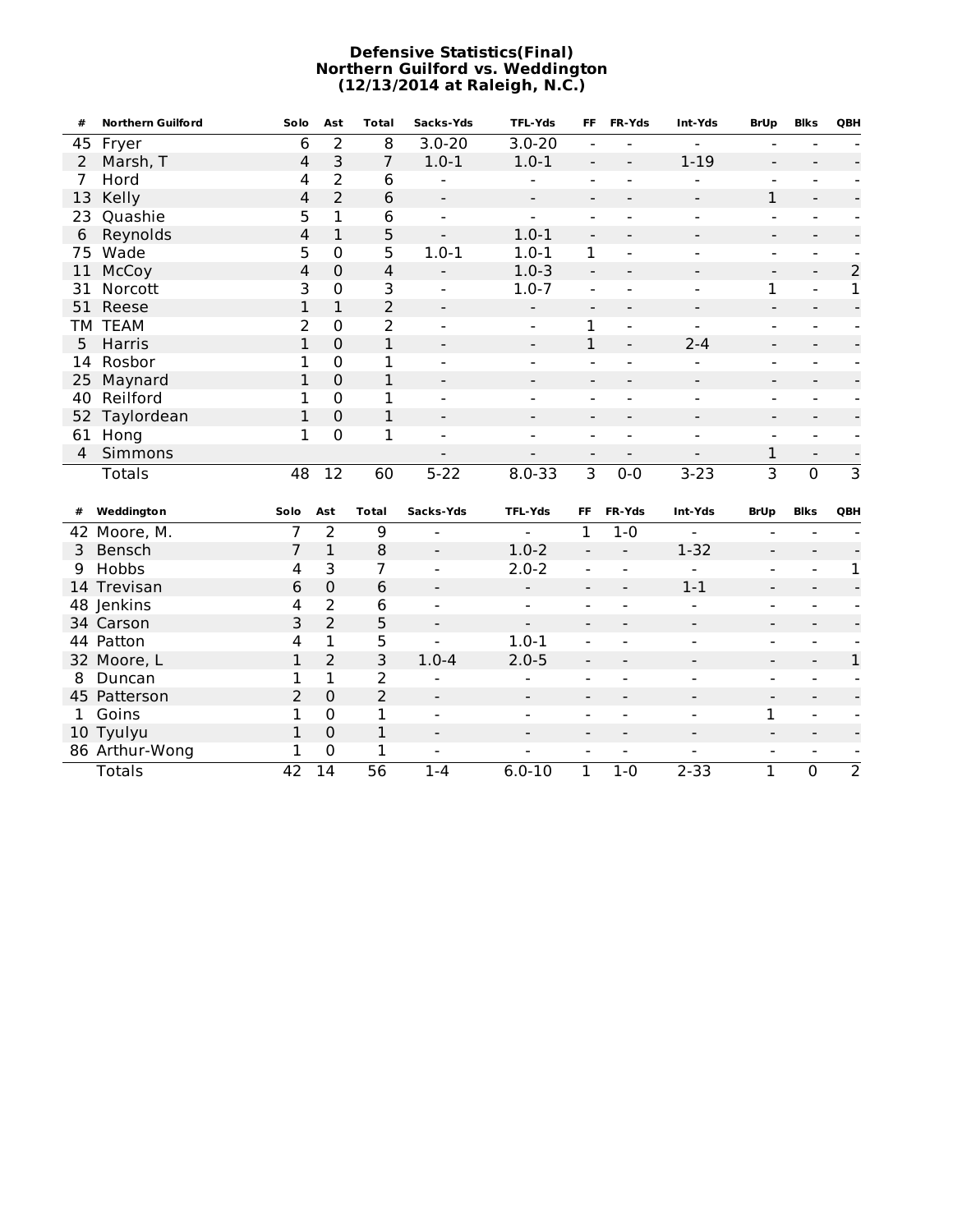#### **Defensive Statistics(Final) Northern Guilford vs. Weddington (12/13/2014 at Raleigh, N.C.)**

| #              | <b>Northern Guilford</b> | Solo           | Ast            | <b>Total</b>    | Sacks-Yds                    | <b>TFL-Yds</b>               | <b>FF</b>                    | FR-Yds                       | Int-Yds                      | <b>BrUp</b>              | <b>Blks</b>                  | QBH            |
|----------------|--------------------------|----------------|----------------|-----------------|------------------------------|------------------------------|------------------------------|------------------------------|------------------------------|--------------------------|------------------------------|----------------|
| 45             | Fryer                    | 6              | $\overline{2}$ | 8               | $3.0 - 20$                   | $3.0 - 20$                   | $\overline{\phantom{0}}$     | -                            |                              |                          |                              |                |
| 2              | Marsh, T                 | 4              | 3              | $\overline{7}$  | $1.0 - 1$                    | $1.0 - 1$                    | $\overline{\phantom{a}}$     | $\qquad \qquad \blacksquare$ | $1 - 19$                     | $\overline{\phantom{a}}$ |                              |                |
| 7              | Hord                     | 4              | $\overline{2}$ | 6               | $\overline{a}$               |                              | $\overline{a}$               | $\overline{a}$               |                              | $\blacksquare$           |                              |                |
| 13             | Kelly                    | 4              | $\overline{2}$ | 6               | $\overline{\phantom{a}}$     | $\overline{\phantom{0}}$     | $\overline{\phantom{a}}$     | $\overline{a}$               |                              | $\mathbf{1}$             | $\blacksquare$               |                |
| 23             | Quashie                  | 5              | 1              | 6               | $\blacksquare$               | $\overline{a}$               | $\overline{a}$               | $\overline{a}$               |                              | $\overline{a}$           |                              |                |
| 6              | Reynolds                 | 4              | $\mathbf{1}$   | 5               | $\overline{a}$               | $1.0 - 1$                    | $\blacksquare$               | $\blacksquare$               | $\overline{\phantom{a}}$     | $\overline{\phantom{a}}$ | $\blacksquare$               |                |
| 75             | Wade                     | 5              | $\mathbf 0$    | 5               | $1.0 - 1$                    | $1.0 - 1$                    | 1                            | $\overline{a}$               |                              | $\overline{\phantom{a}}$ |                              |                |
| 11             | McCoy                    | 4              | $\overline{0}$ | $\overline{4}$  | $\blacksquare$               | $1.0 - 3$                    | $\overline{a}$               | $\overline{a}$               |                              | $\overline{\phantom{a}}$ | $\overline{\phantom{a}}$     | $\overline{2}$ |
| 31             | Norcott                  | 3              | $\mathbf 0$    | 3               | $\overline{a}$               | $1.0 - 7$                    | $\overline{a}$               | $\overline{a}$               | $\blacksquare$               | $\mathbf{1}$             | $\overline{\phantom{a}}$     | $\mathbf{1}$   |
| 51             | Reese                    | $\mathbf{1}$   | $\mathbf{1}$   | $\overline{2}$  | $\blacksquare$               | $\overline{a}$               | $\blacksquare$               | $\overline{a}$               |                              | $\overline{a}$           | $\blacksquare$               |                |
|                | TM TEAM                  | $\overline{2}$ | $\mathbf 0$    | $\overline{2}$  | $\blacksquare$               | $\overline{\phantom{a}}$     | $\mathbf 1$                  | $\blacksquare$               | $\overline{a}$               | $\blacksquare$           | $\overline{\phantom{0}}$     |                |
| 5              | Harris                   | $\mathbf{1}$   | $\overline{0}$ | $\mathbf{1}$    | $\blacksquare$               | $\qquad \qquad \blacksquare$ | $\overline{1}$               | $\overline{a}$               | $2 - 4$                      | $\overline{\phantom{a}}$ | $\overline{\phantom{0}}$     |                |
| 14             | Rosbor                   | 1              | $\mathbf 0$    | 1               | $\overline{\phantom{0}}$     | $\overline{\phantom{a}}$     | $\overline{\phantom{0}}$     | $\overline{\phantom{0}}$     |                              | $\overline{\phantom{a}}$ | $\overline{\phantom{0}}$     |                |
| 25             | Maynard                  | $\mathbf{1}$   | $\overline{0}$ | 1               | $\overline{\phantom{0}}$     | $\overline{\phantom{0}}$     | $\qquad \qquad \blacksquare$ | $\qquad \qquad \blacksquare$ |                              | $\overline{a}$           |                              |                |
| 40             | Reilford                 | 1              | $\mathbf 0$    | 1               | $\overline{\phantom{0}}$     | $\overline{\phantom{a}}$     | $\overline{a}$               | $\overline{a}$               |                              | $\overline{\phantom{a}}$ |                              |                |
| 52             | Taylordean               | 1              | $\overline{0}$ | $\mathbf{1}$    | $\overline{\phantom{0}}$     | $\overline{\phantom{0}}$     | $\overline{a}$               | $\qquad \qquad \blacksquare$ | $\overline{\phantom{a}}$     | $\overline{\phantom{a}}$ | $\qquad \qquad \blacksquare$ |                |
| 61             | Hong                     | 1              | $\overline{0}$ | $\mathbf 1$     | $\sim$                       | $\blacksquare$               | $\overline{a}$               | $\qquad \qquad \blacksquare$ | $\blacksquare$               | $\sim$                   | $\blacksquare$               |                |
| $\overline{4}$ | Simmons                  |                |                |                 | $\overline{\phantom{a}}$     | $\overline{\phantom{0}}$     | $\qquad \qquad \blacksquare$ | -                            | $\overline{\phantom{a}}$     | $\mathbf{1}$             | $\blacksquare$               |                |
|                | <b>Totals</b>            | 48             | 12             | 60              | $5 - 22$                     | $8.0 - 33$                   | $\overline{3}$               | $0 - 0$                      | $3 - 23$                     | $\overline{3}$           | $\overline{0}$               | $\overline{3}$ |
| #              | Weddington               | Solo           | Ast            | <b>Total</b>    | Sacks-Yds                    | <b>TFL-Yds</b>               | FF                           | FR-Yds                       | Int-Yds                      | <b>BrUp</b>              | <b>Blks</b>                  | QBH            |
|                | 42 Moore, M.             | 7              | $\overline{2}$ | 9               | $\overline{\phantom{0}}$     |                              | $\mathbf 1$                  | $1 - 0$                      |                              |                          | $\blacksquare$               |                |
| 3              | Bensch                   | 7              | $\mathbf{1}$   | 8               | $\overline{\phantom{a}}$     | $1.0 - 2$                    | $\overline{\phantom{a}}$     |                              | $1 - 32$                     |                          | $\overline{\phantom{a}}$     |                |
| 9              | Hobbs                    | 4              | 3              | 7               | $\overline{\phantom{a}}$     | $2.0 - 2$                    | $\overline{a}$               | $\overline{a}$               | $\overline{a}$               | $\blacksquare$           | $\blacksquare$               | 1              |
|                | 14 Trevisan              | 6              | $\mathbf 0$    | 6               | $\qquad \qquad \blacksquare$ | $\overline{\phantom{0}}$     | $\overline{\phantom{a}}$     | $\qquad \qquad \blacksquare$ | $1-1$                        | $\overline{\phantom{a}}$ | $\overline{\phantom{0}}$     |                |
|                | 48 Jenkins               | 4              | $\overline{2}$ | 6               | $\overline{\phantom{a}}$     | $\overline{\phantom{0}}$     | $\overline{a}$               | $\blacksquare$               | $\overline{\phantom{0}}$     | $\blacksquare$           | $\overline{\phantom{a}}$     |                |
|                | 34 Carson                | 3              | $\overline{2}$ | 5               | $\qquad \qquad \blacksquare$ |                              | $\overline{\phantom{a}}$     | $\overline{\phantom{a}}$     | $\overline{\phantom{0}}$     | $\overline{\phantom{a}}$ | $\blacksquare$               |                |
|                | 44 Patton                | 4              | 1              | 5               | $\overline{a}$               | $1.0 - 1$                    | $\overline{a}$               | $\blacksquare$               | $\blacksquare$               | $\overline{a}$           | $\blacksquare$               |                |
|                | 32 Moore, L              | 1              | $\overline{2}$ | 3               | $1.0 - 4$                    | $2.0 - 5$                    | $\qquad \qquad \blacksquare$ | $\overline{\phantom{a}}$     | $\blacksquare$               | $\blacksquare$           | $\blacksquare$               | $\mathbf 1$    |
| 8              | Duncan                   | 1              | 1              | 2               | $\overline{\phantom{a}}$     | $\overline{a}$               | $\overline{a}$               | $\blacksquare$               | $\blacksquare$               | $\sim$                   | $\blacksquare$               |                |
|                | 45 Patterson             | $\overline{2}$ | $\mathbf 0$    | $\overline{2}$  | $\overline{\phantom{a}}$     | $\qquad \qquad -$            | $\qquad \qquad \blacksquare$ | $\qquad \qquad \blacksquare$ | $\qquad \qquad \blacksquare$ | $\overline{\phantom{a}}$ | $\blacksquare$               |                |
| $\mathbf{1}$   | Goins                    | 1              | 0              | 1               | $\blacksquare$               | $\overline{\phantom{0}}$     | $\overline{a}$               | $\blacksquare$               | $\overline{\phantom{0}}$     | 1                        | $\blacksquare$               |                |
|                | 10 Tyulyu                | $\mathbf{1}$   | $\mathbf 0$    | $\mathbf{1}$    | $\qquad \qquad \blacksquare$ | $\overline{\phantom{a}}$     | $\qquad \qquad \blacksquare$ | $\qquad \qquad \blacksquare$ | $\qquad \qquad \blacksquare$ |                          | $\overline{\phantom{a}}$     |                |
|                | 86 Arthur-Wong           | $\mathbf{1}$   | $\overline{0}$ | $\mathbf{1}$    | $\overline{a}$               | $\overline{a}$               | $\overline{\phantom{a}}$     | $\overline{\phantom{a}}$     | $\overline{a}$               | $\overline{\phantom{a}}$ | $\blacksquare$               |                |
|                | <b>Totals</b>            | 42             | 14             | $\overline{56}$ | $1 - 4$                      | $6.0 - 10$                   | $\mathbf{1}$                 | $1 - 0$                      | $2 - 33$                     | $\overline{1}$           | $\overline{0}$               | $\overline{2}$ |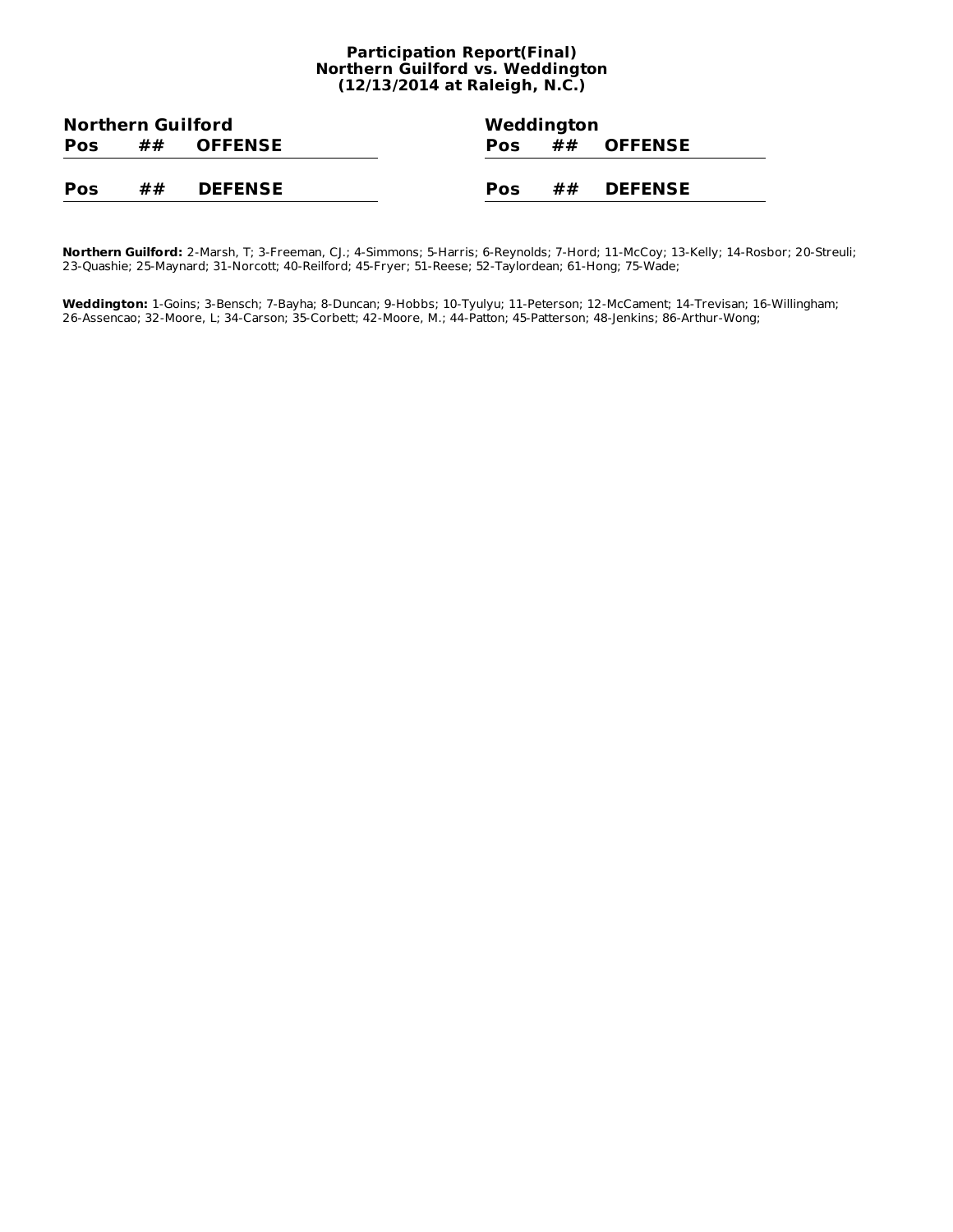#### **Participation Report(Final) Northern Guilford vs. Weddington (12/13/2014 at Raleigh, N.C.)**

| <b>Northern Guilford</b> |    |                |            | Weddington |                   |  |
|--------------------------|----|----------------|------------|------------|-------------------|--|
| <b>Pos</b>               | ## | <b>OFFENSE</b> | <b>Pos</b> |            | $\#$ $\#$ OFFENSE |  |
|                          |    |                |            |            |                   |  |
| <b>Pos</b>               | ## | <b>DEFENSE</b> | Pos        |            | $\# \#$ DEFENSE   |  |

**Northern Guilford:** 2-Marsh, T; 3-Freeman, CJ.; 4-Simmons; 5-Harris; 6-Reynolds; 7-Hord; 11-McCoy; 13-Kelly; 14-Rosbor; 20-Streuli; 23-Quashie; 25-Maynard; 31-Norcott; 40-Reilford; 45-Fryer; 51-Reese; 52-Taylordean; 61-Hong; 75-Wade;

**Weddington:** 1-Goins; 3-Bensch; 7-Bayha; 8-Duncan; 9-Hobbs; 10-Tyulyu; 11-Peterson; 12-McCament; 14-Trevisan; 16-Willingham; 26-Assencao; 32-Moore, L; 34-Carson; 35-Corbett; 42-Moore, M.; 44-Patton; 45-Patterson; 48-Jenkins; 86-Arthur-Wong;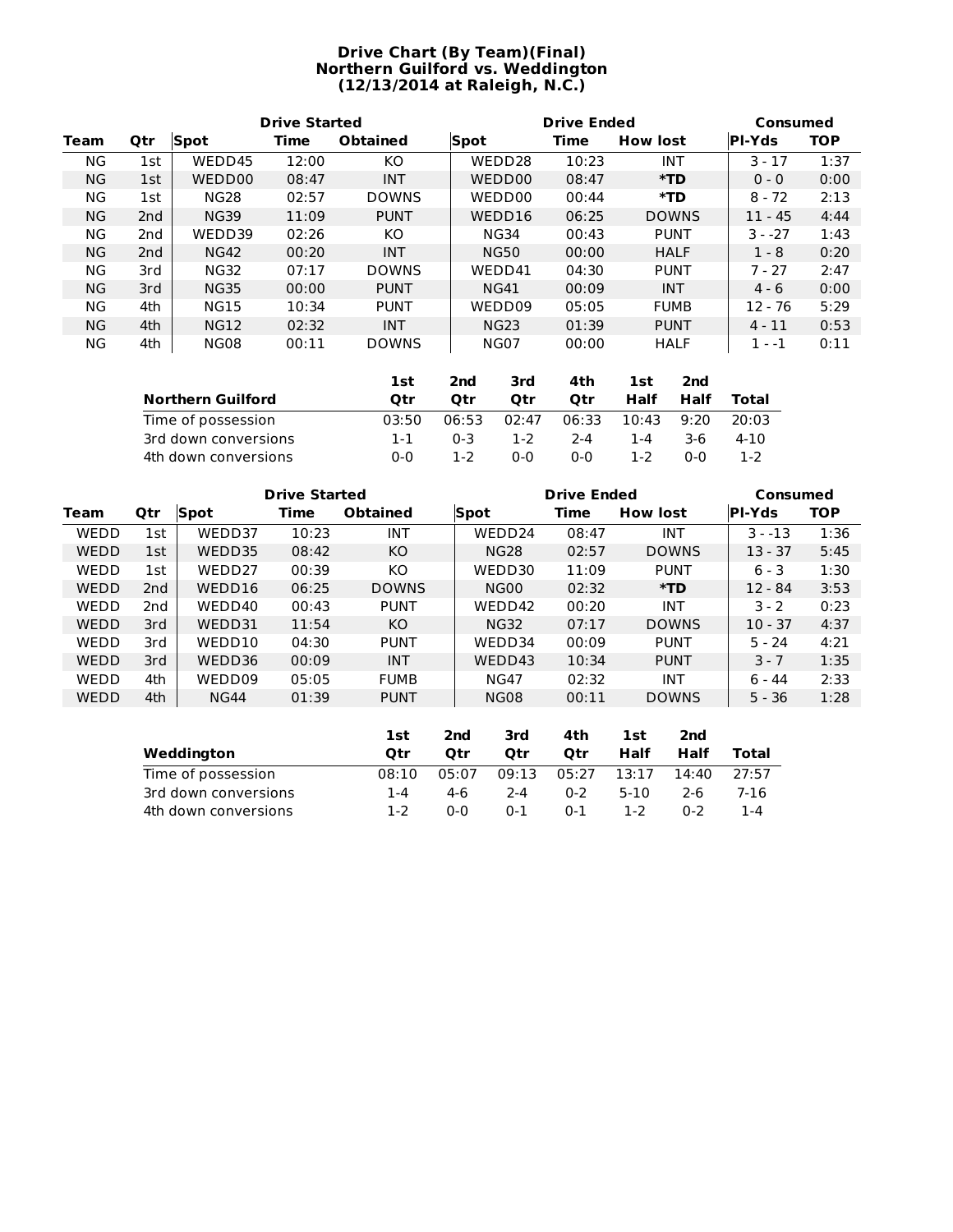#### **Drive Chart (By Team)(Final) Northern Guilford vs. Weddington (12/13/2014 at Raleigh, N.C.)**

|           |                 |             | <b>Drive Started</b> |                 |             | <b>Drive Ended</b> |                 | Consumed      |            |  |
|-----------|-----------------|-------------|----------------------|-----------------|-------------|--------------------|-----------------|---------------|------------|--|
| Team      | <b>Qtr</b>      | <b>Spot</b> | Time                 | <b>Obtained</b> | <b>Spot</b> | Time               | <b>How lost</b> | <b>PI-Yds</b> | <b>TOP</b> |  |
| ΝG        | 1st             | WEDD45      | 12:00                | KO.             | WEDD28      | 10:23              | <b>INT</b>      | $3 - 17$      | 1:37       |  |
| <b>NG</b> | 1st             | WEDD00      | 08:47                | <b>INT</b>      | WEDD00      | 08:47              | $*TD$           | $0 - 0$       | 0:00       |  |
| ΝG        | 1st             | <b>NG28</b> | 02:57                | <b>DOWNS</b>    | WEDD00      | 00:44              | *TD             | $8 - 72$      | 2:13       |  |
| <b>NG</b> | 2 <sub>nd</sub> | <b>NG39</b> | 11:09                | <b>PUNT</b>     | WEDD16      | 06:25              | <b>DOWNS</b>    | $11 - 45$     | 4:44       |  |
| ΝG        | 2nd             | WEDD39      | 02:26                | KO              | <b>NG34</b> | 00:43              | <b>PUNT</b>     | $3 - -27$     | 1:43       |  |
| <b>NG</b> | 2 <sub>nd</sub> | <b>NG42</b> | 00:20                | <b>INT</b>      | <b>NG50</b> | 00:00              | <b>HALF</b>     | $1 - 8$       | 0:20       |  |
| ΝG        | 3rd             | <b>NG32</b> | 07:17                | <b>DOWNS</b>    | WEDD41      | 04:30              | <b>PUNT</b>     | $7 - 27$      | 2:47       |  |
| <b>NG</b> | 3rd             | <b>NG35</b> | 00:00                | <b>PUNT</b>     | <b>NG41</b> | 00:09              | <b>INT</b>      | $4 - 6$       | 0:00       |  |
| ΝG        | 4th             | <b>NG15</b> | 10:34                | <b>PUNT</b>     | WEDD09      | 05:05              | <b>FUMB</b>     | $12 - 76$     | 5:29       |  |
| <b>NG</b> | 4th             | <b>NG12</b> | 02:32                | <b>INT</b>      | <b>NG23</b> | 01:39              | <b>PUNT</b>     | $4 - 11$      | 0:53       |  |
| ΝG        | 4th             | <b>NG08</b> | 00:11                | <b>DOWNS</b>    | <b>NG07</b> | 00:00              | <b>HALF</b>     | $1 - -1$      | 0:11       |  |

|                          | 1st   | 2nd   | 3rd     | 4th     | 1st     | 2nd  |       |
|--------------------------|-------|-------|---------|---------|---------|------|-------|
| <b>Northern Guilford</b> | Otr   | Otr   | Otr     | Otr     | Half    | Half | Total |
| Time of possession       | 03:50 | 06:53 | 02:47   | 06:33   | 10:43   | 9:20 | 20:03 |
| 3rd down conversions     | 1-1   | በ-3   | $1 - 2$ | $2 - 4$ | 1-4     | 3-6  | 4-10  |
| 4th down conversions     | 0-0   | 1-2   | 0-0     | $0 - 0$ | $1 - 2$ | 0-0  | 1-2   |

|             |                 |             | <b>Drive Started</b> |                 |                  | <b>Drive Ended</b> |                 | Consumed      |            |
|-------------|-----------------|-------------|----------------------|-----------------|------------------|--------------------|-----------------|---------------|------------|
| Team        | <b>Qtr</b>      | Spot        | Time                 | <b>Obtained</b> | <b>Spot</b>      | Time               | <b>How lost</b> | <b>PI-Yds</b> | <b>TOP</b> |
| WEDD        | 1st             | WEDD37      | 10:23                | <b>INT</b>      | WEDD24           | 08:47              | <b>INT</b>      | $3 - -13$     | 1:36       |
| <b>WEDD</b> | 1st             | WEDD35      | 08:42                | <b>KO</b>       | <b>NG28</b>      | 02:57              | <b>DOWNS</b>    | $13 - 37$     | 5:45       |
| WEDD        | 1st             | WEDD27      | 00:39                | KO              | WEDD30           | 11:09              | <b>PUNT</b>     | $6 - 3$       | 1:30       |
| WEDD        | 2 <sub>nd</sub> | WEDD16      | 06:25                | <b>DOWNS</b>    | NG <sub>00</sub> | 02:32              | *TD             | $12 - 84$     | 3:53       |
| <b>WEDD</b> | 2 <sub>nd</sub> | WEDD40      | 00:43                | <b>PUNT</b>     | WEDD42           | 00:20              | <b>INT</b>      | $3 - 2$       | 0:23       |
| WEDD        | 3rd             | WEDD31      | 11:54                | <b>KO</b>       | <b>NG32</b>      | 07:17              | <b>DOWNS</b>    | $10 - 37$     | 4:37       |
| WEDD        | 3rd             | WEDD10      | 04:30                | <b>PUNT</b>     | WEDD34           | 00:09              | <b>PUNT</b>     | $5 - 24$      | 4:21       |
| WEDD        | 3rd             | WEDD36      | 00:09                | <b>INT</b>      | WEDD43           | 10:34              | <b>PUNT</b>     | $3 - 7$       | 1:35       |
| WEDD        | 4th             | WEDD09      | 05:05                | <b>FUMB</b>     | <b>NG47</b>      | 02:32              | <b>INT</b>      | ճ - 44        | 2:33       |
| WEDD        | 4th             | <b>NG44</b> | 01:39                | <b>PUNT</b>     | <b>NG08</b>      | 00:11              | <b>DOWNS</b>    | $5 - 36$      | 1:28       |

|                      | 1st     | 2nd   | 3rd     | 4th     | 1st   | 2nd     |       |
|----------------------|---------|-------|---------|---------|-------|---------|-------|
| Weddington           | Otr     | Otr   | Otr     | Otr     | Half  | Half    | Total |
| Time of possession   | 08:10   | 05:07 | 09:13   | 05:27   | 13:17 | 14:40   | 27:57 |
| 3rd down conversions | 1-4     | 4-6   | 2-4     | $0 - 2$ | 5-10  | 2-6     | 7-16  |
| 4th down conversions | $1 - 2$ | 0-0   | $0 - 1$ | $0 - 1$ | 1-2   | $0 - 2$ | 1-4   |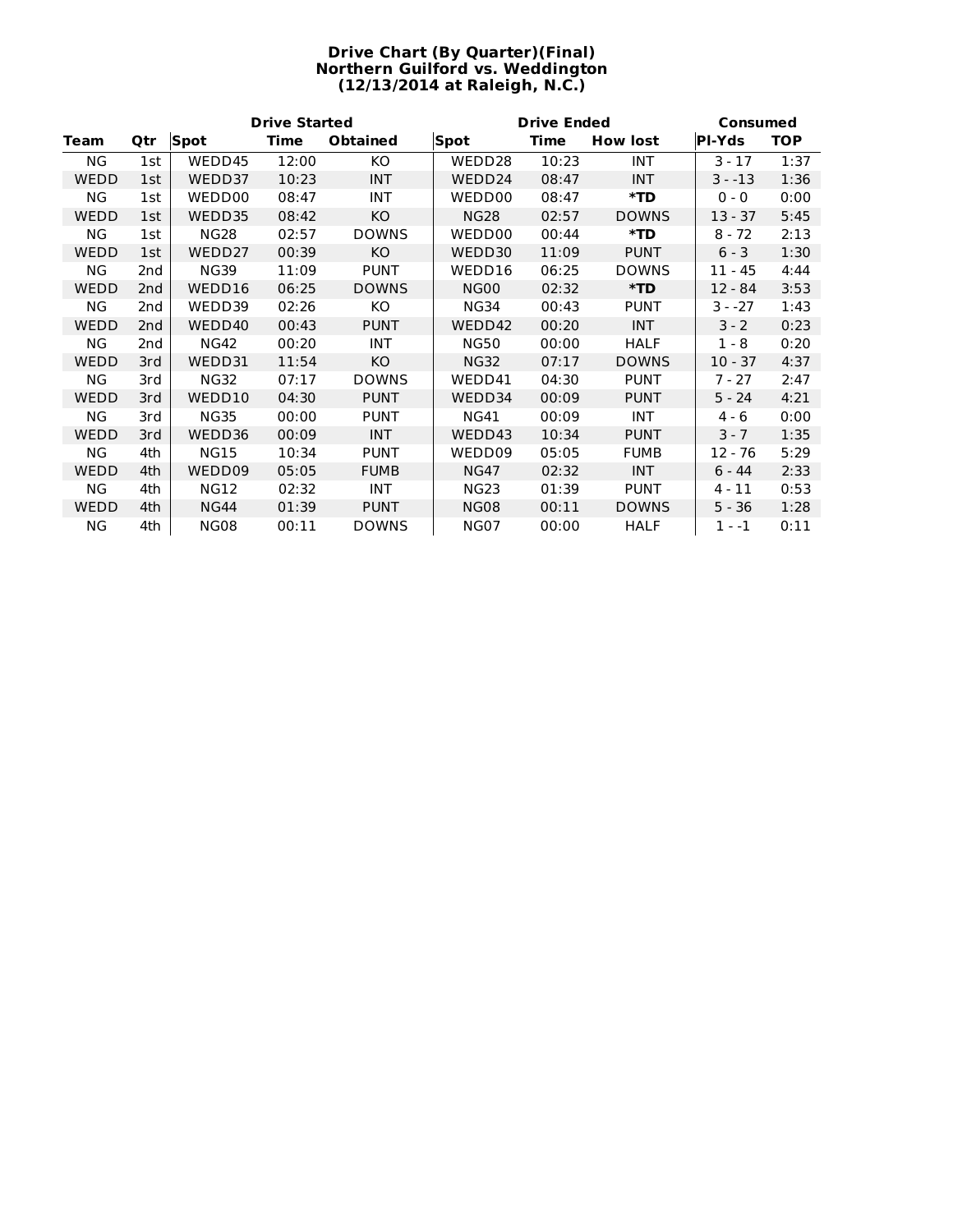#### **Drive Chart (By Quarter)(Final) Northern Guilford vs. Weddington (12/13/2014 at Raleigh, N.C.)**

|             |                 |             | <b>Drive Started</b> |                 |             | <b>Drive Ended</b> |                 | Consumed      |            |  |  |
|-------------|-----------------|-------------|----------------------|-----------------|-------------|--------------------|-----------------|---------------|------------|--|--|
| <b>Team</b> | Qtr             | <b>Spot</b> | Time                 | <b>Obtained</b> | <b>Spot</b> | <b>Time</b>        | <b>How lost</b> | <b>PI-Yds</b> | <b>TOP</b> |  |  |
| <b>NG</b>   | 1st             | WEDD45      | 12:00                | KO.             | WEDD28      | 10:23              | <b>INT</b>      | $3 - 17$      | 1:37       |  |  |
| WEDD        | 1st             | WEDD37      | 10:23                | <b>INT</b>      | WEDD24      | 08:47              | <b>INT</b>      | $3 - -13$     | 1:36       |  |  |
| ΝG          | 1st             | WEDD00      | 08:47                | <b>INT</b>      | WEDD00      | 08:47              | $*TD$           | $0 - 0$       | 0:00       |  |  |
| <b>WEDD</b> | 1st             | WEDD35      | 08:42                | KO              | <b>NG28</b> | 02:57              | <b>DOWNS</b>    | $13 - 37$     | 5:45       |  |  |
| ΝG          | 1st             | <b>NG28</b> | 02:57                | <b>DOWNS</b>    | WEDD00      | 00:44              | $*TD$           | $8 - 72$      | 2:13       |  |  |
| WEDD        | 1st             | WEDD27      | 00:39                | <b>KO</b>       | WEDD30      | 11:09              | <b>PUNT</b>     | $6 - 3$       | 1:30       |  |  |
| <b>NG</b>   | 2nd             | <b>NG39</b> | 11:09                | <b>PUNT</b>     | WEDD16      | 06:25              | <b>DOWNS</b>    | $11 - 45$     | 4:44       |  |  |
| WEDD        | 2 <sub>nd</sub> | WEDD16      | 06:25                | <b>DOWNS</b>    | <b>NG00</b> | 02:32              | $*TD$           | $12 - 84$     | 3:53       |  |  |
| ΝG          | 2nd             | WEDD39      | 02:26                | KO              | <b>NG34</b> | 00:43              | <b>PUNT</b>     | $3 - -27$     | 1:43       |  |  |
| WEDD        | 2nd             | WEDD40      | 00:43                | <b>PUNT</b>     | WEDD42      | 00:20              | <b>INT</b>      | $3 - 2$       | 0:23       |  |  |
| ΝG          | 2nd             | <b>NG42</b> | 00:20                | <b>INT</b>      | <b>NG50</b> | 00:00              | <b>HALF</b>     | $1 - 8$       | 0:20       |  |  |
| <b>WEDD</b> | 3rd             | WEDD31      | 11:54                | KO              | <b>NG32</b> | 07:17              | <b>DOWNS</b>    | $10 - 37$     | 4:37       |  |  |
| ΝG          | 3rd             | <b>NG32</b> | 07:17                | <b>DOWNS</b>    | WEDD41      | 04:30              | <b>PUNT</b>     | $7 - 27$      | 2:47       |  |  |
| WEDD        | 3rd             | WEDD10      | 04:30                | <b>PUNT</b>     | WEDD34      | 00:09              | <b>PUNT</b>     | $5 - 24$      | 4:21       |  |  |
| NG.         | 3rd             | <b>NG35</b> | 00:00                | <b>PUNT</b>     | <b>NG41</b> | 00:09              | <b>INT</b>      | $4 - 6$       | 0:00       |  |  |
| WEDD        | 3rd             | WEDD36      | 00:09                | <b>INT</b>      | WEDD43      | 10:34              | <b>PUNT</b>     | $3 - 7$       | 1:35       |  |  |
| <b>NG</b>   | 4th             | <b>NG15</b> | 10:34                | <b>PUNT</b>     | WEDD09      | 05:05              | <b>FUMB</b>     | 12 - 76       | 5:29       |  |  |
| WEDD        | 4th             | WEDD09      | 05:05                | <b>FUMB</b>     | <b>NG47</b> | 02:32              | <b>INT</b>      | $6 - 44$      | 2:33       |  |  |
| ΝG          | 4th             | <b>NG12</b> | 02:32                | <b>INT</b>      | <b>NG23</b> | 01:39              | <b>PUNT</b>     | $4 - 11$      | 0:53       |  |  |
| WEDD        | 4th             | <b>NG44</b> | 01:39                | <b>PUNT</b>     | <b>NG08</b> | 00:11              | <b>DOWNS</b>    | 5 - 36        | 1:28       |  |  |
| ΝG          | 4th             | <b>NG08</b> | 00:11                | <b>DOWNS</b>    | <b>NG07</b> | 00:00              | <b>HALF</b>     | 1 - -1        | 0:11       |  |  |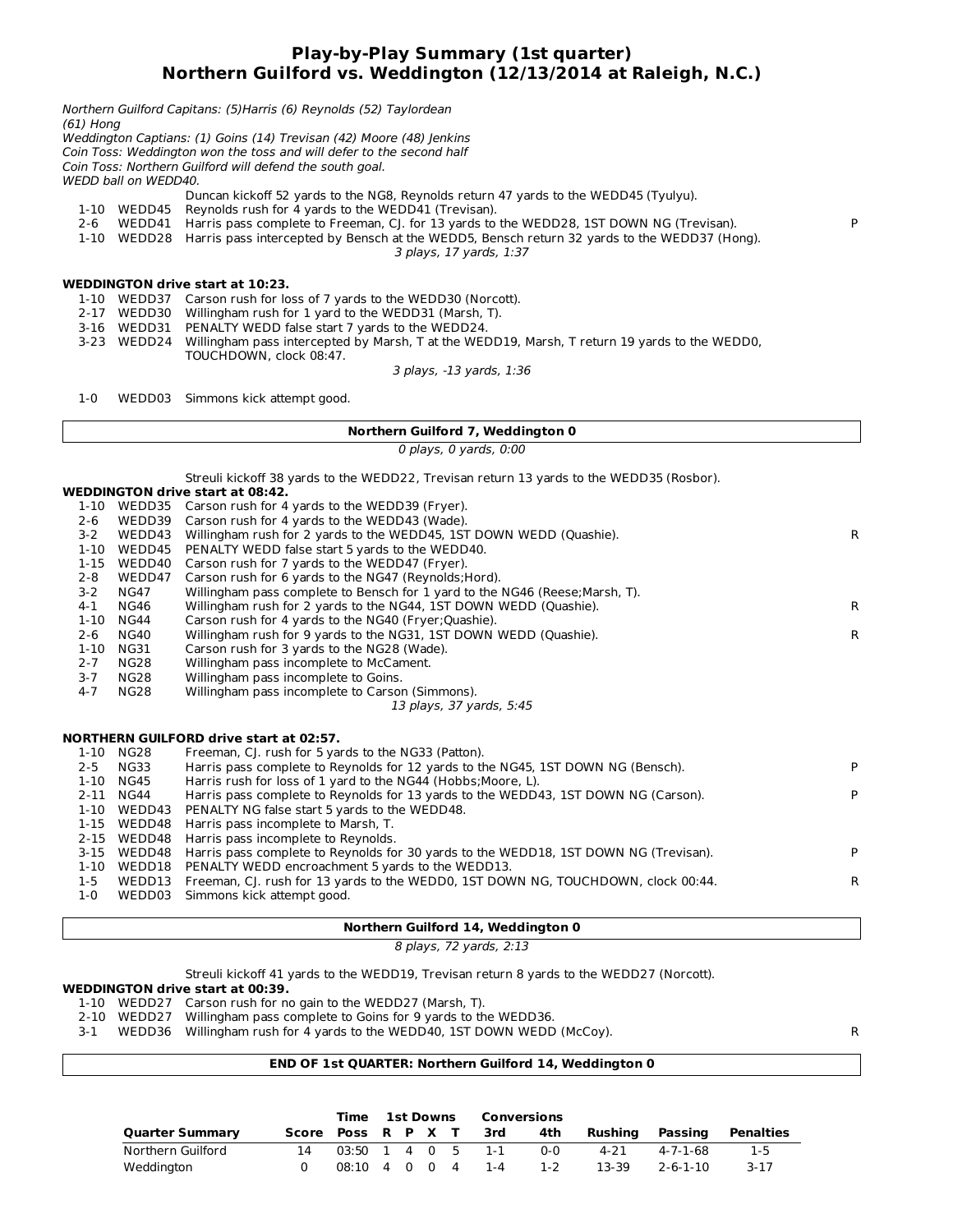### **Play-by-Play Summary (1st quarter) Northern Guilford vs. Weddington (12/13/2014 at Raleigh, N.C.)**

| (61) Hong |                      | Northern Guilford Capitans: (5) Harris (6) Reynolds (52) Taylordean                           |   |
|-----------|----------------------|-----------------------------------------------------------------------------------------------|---|
|           |                      | Weddington Captians: (1) Goins (14) Trevisan (42) Moore (48) Jenkins                          |   |
|           |                      | Coin Toss: Weddington won the toss and will defer to the second half                          |   |
|           |                      | Coin Toss: Northern Guilford will defend the south goal.                                      |   |
|           | WEDD ball on WEDD40. |                                                                                               |   |
|           |                      | Duncan kickoff 52 yards to the NG8, Reynolds return 47 yards to the WEDD45 (Tyulyu).          |   |
| 1-10      | WEDD45               | Reynolds rush for 4 yards to the WEDD41 (Trevisan).                                           |   |
| 2-6       | WEDD41               | Harris pass complete to Freeman, CJ. for 13 yards to the WEDD28, 1ST DOWN NG (Trevisan).      | P |
| 1-10      | WEDD28               | Harris pass intercepted by Bensch at the WEDD5, Bensch return 32 yards to the WEDD37 (Hong).  |   |
|           |                      | 3 plays, 17 yards, 1:37                                                                       |   |
|           |                      | <b>WEDDINGTON drive start at 10:23.</b>                                                       |   |
|           |                      | WEDD37 Carson rush for loss of 7 yards to the WEDD30 (Norcott).                               |   |
| 1-10      |                      |                                                                                               |   |
| $2 - 17$  | WEDD30               | Willingham rush for 1 yard to the WEDD31 (Marsh, T).                                          |   |
| $3 - 16$  |                      | WEDD31 PENALTY WEDD false start 7 yards to the WEDD24.                                        |   |
| $3 - 23$  | WEDD24               | Willingham pass intercepted by Marsh, T at the WEDD19, Marsh, T return 19 yards to the WEDD0, |   |
|           |                      | TOUCHDOWN, clock 08:47.                                                                       |   |

3 plays, -13 yards, 1:36

1-0 WEDD03 Simmons kick attempt good.

#### **Northern Guilford 7, Weddington 0**

0 plays, 0 yards, 0:00

Streuli kickoff 38 yards to the WEDD22, Trevisan return 13 yards to the WEDD35 (Rosbor).

#### **WEDDINGTON drive start at 08:42.**

| 1-10     | WEDD35    | Carson rush for 4 yards to the WEDD39 (Fryer).                                       |    |
|----------|-----------|--------------------------------------------------------------------------------------|----|
| 2-6      | WEDD39    | Carson rush for 4 yards to the WEDD43 (Wade).                                        |    |
| $3 - 2$  | WEDD43    | Willingham rush for 2 yards to the WEDD45, 1ST DOWN WEDD (Quashie).                  | R. |
| $1 - 10$ | WEDD45    | PENALTY WEDD false start 5 yards to the WEDD40.                                      |    |
| $1 - 15$ | WEDD40    | Carson rush for 7 yards to the WEDD47 (Fryer).                                       |    |
| $2 - 8$  | WEDD47    | Carson rush for 6 yards to the NG47 (Reynolds; Hord).                                |    |
| $3 - 2$  | NG47      | Willingham pass complete to Bensch for 1 yard to the NG46 (Reese; Marsh, T).         |    |
| $4 - 1$  | NG46      | Willingham rush for 2 yards to the NG44, 1ST DOWN WEDD (Quashie).                    | R. |
| 1-10     | NG44      | Carson rush for 4 yards to the NG40 (Fryer; Quashie).                                |    |
| $2 - 6$  | NG40      | Willingham rush for 9 yards to the NG31, 1ST DOWN WEDD (Quashie).                    | R. |
| $1 - 10$ | NG31      | Carson rush for 3 yards to the NG28 (Wade).                                          |    |
| $2 - 7$  | NG28      | Willingham pass incomplete to McCament.                                              |    |
| $3 - 7$  | NG28      | Willingham pass incomplete to Goins.                                                 |    |
| $4 - 7$  | NG28      | Willingham pass incomplete to Carson (Simmons).                                      |    |
|          |           | 13 plays, 37 yards, 5:45                                                             |    |
|          |           | <b>NORTHERN GUILFORD drive start at 02:57.</b>                                       |    |
| 1-10     | NG28      | Freeman, CJ. rush for 5 yards to the NG33 (Patton).                                  |    |
| $2 - 5$  | NG33      | Harris pass complete to Reynolds for 12 yards to the NG45, 1ST DOWN NG (Bensch).     | P  |
| $1 - 10$ | NG45      | Harris rush for loss of 1 yard to the NG44 (Hobbs; Moore, L).                        |    |
|          | 2-11 NG44 | Harris pass complete to Reynolds for 13 yards to the WEDD43, 1ST DOWN NG (Carson).   | P  |
| $1 - 10$ | WEDD43    | PENALTY NG false start 5 yards to the WEDD48.                                        |    |
| $1 - 15$ | WEDD48    | Harris pass incomplete to Marsh, T.                                                  |    |
| 2-15     | WEDD48    | Harris pass incomplete to Reynolds.                                                  |    |
| $3 - 15$ | WEDD48    | Harris pass complete to Reynolds for 30 yards to the WEDD18, 1ST DOWN NG (Trevisan). | P  |
| 1-10     | WEDD18    | PENALTY WEDD encroachment 5 yards to the WEDD13.                                     |    |
| $1 - 5$  | WEDD13    | Freeman, CJ. rush for 13 yards to the WEDD0, 1ST DOWN NG, TOUCHDOWN, clock 00:44.    | R  |

1-0 WEDD03 Simmons kick attempt good.

#### **Northern Guilford 14, Weddington 0**

8 plays, 72 yards, 2:13

Streuli kickoff 41 yards to the WEDD19, Trevisan return 8 yards to the WEDD27 (Norcott).

#### **WEDDINGTON drive start at 00:39.**

- 1-10 WEDD27 Carson rush for no gain to the WEDD27 (Marsh, T).
- 2-10 WEDD27 Willingham pass complete to Goins for 9 yards to the WEDD36.

3-1 WEDD36 Willingham rush for 4 yards to the WEDD40, 1ST DOWN WEDD (McCoy). R

#### **END OF 1st QUARTER: Northern Guilford 14, Weddington 0**

|                        |    |                                                   |  |  | Time 1st Downs Conversions |                        |       |                 |          |           |
|------------------------|----|---------------------------------------------------|--|--|----------------------------|------------------------|-------|-----------------|----------|-----------|
| <b>Quarter Summary</b> |    |                                                   |  |  |                            | Score Poss R P X T 3rd | 4th   | Rushing Passing |          | Penalties |
| Northern Guilford      | 14 | $03:50 \quad 1 \quad 4 \quad 0 \quad 5 \quad 1-1$ |  |  |                            |                        | ი-ი   | 4-21            | 4-7-1-68 | $1-5$     |
| Weddington             |    |                                                   |  |  |                            | 08:10 4 0 0 4 1-4      | $1-2$ | 13-39           | 2-6-1-10 | 3-17      |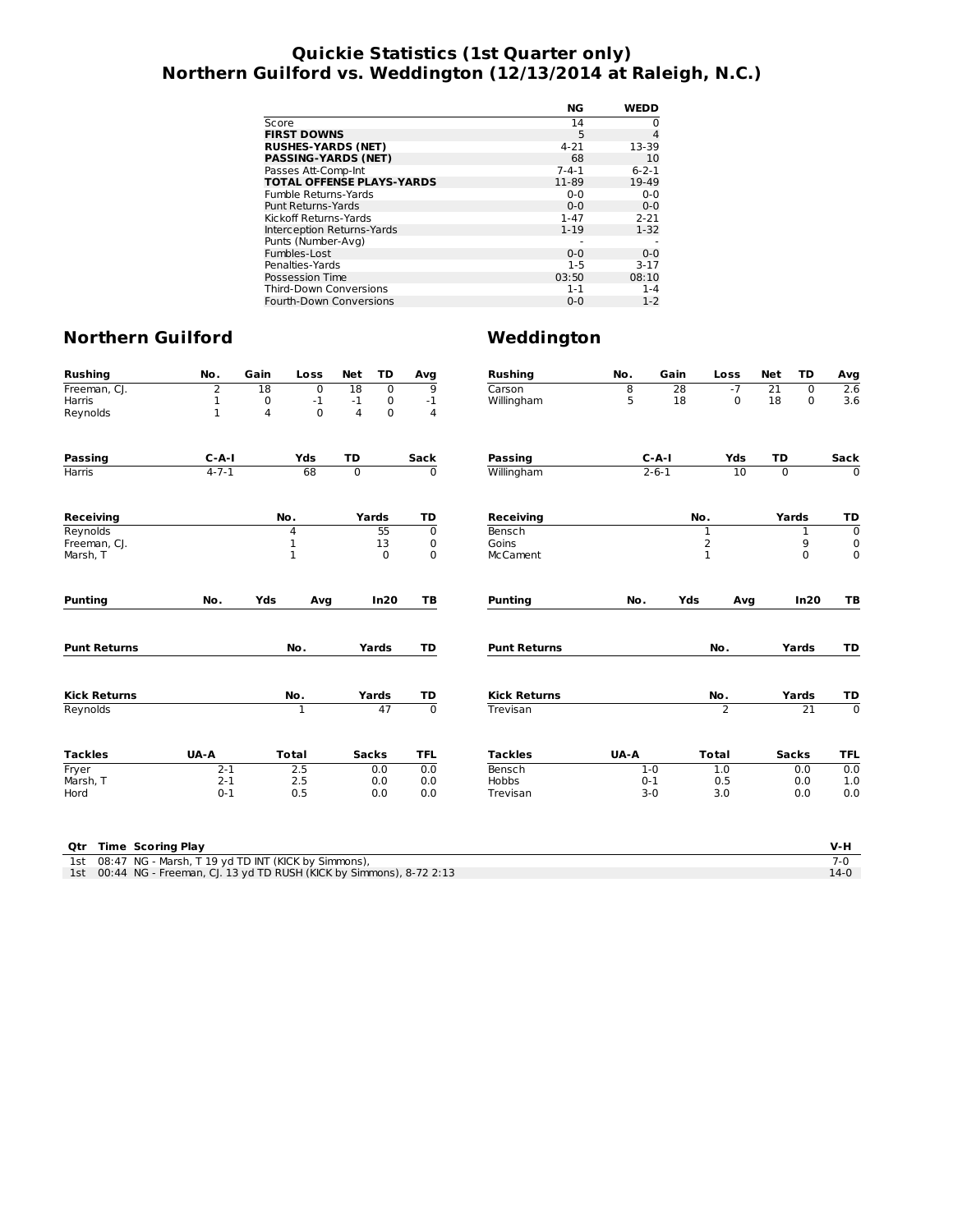## **Quickie Statistics (1st Quarter only) Northern Guilford vs. Weddington (12/13/2014 at Raleigh, N.C.)**

|                                  | NG          | <b>WEDD</b> |
|----------------------------------|-------------|-------------|
| Score                            | 14          | 0           |
| <b>FIRST DOWNS</b>               | 5           | 4           |
| <b>RUSHES-YARDS (NET)</b>        | $4 - 21$    | 13-39       |
| <b>PASSING-YARDS (NET)</b>       | 68          | 10          |
| Passes Att-Comp-Int              | $7 - 4 - 1$ | $6 - 2 - 1$ |
| <b>TOTAL OFFENSE PLAYS-YARDS</b> | 11-89       | 19-49       |
| Fumble Returns-Yards             | $0 - 0$     | $0 - 0$     |
| Punt Returns-Yards               | $0 - 0$     | $0 - 0$     |
| Kickoff Returns-Yards            | $1 - 47$    | $2 - 21$    |
| Interception Returns-Yards       | $1 - 19$    | $1 - 32$    |
| Punts (Number-Avg)               |             |             |
| Fumbles-Lost                     | $0 - 0$     | $0 - 0$     |
| Penalties-Yards                  | $1 - 5$     | $3 - 17$    |
| Possession Time                  | 03:50       | 08:10       |
| <b>Third-Down Conversions</b>    | $1 - 1$     | $1 - 4$     |
| Fourth-Down Conversions          | $0 - 0$     | $1 - 2$     |

| <b>Rushing</b>      | No.         | Gain | Loss         | <b>Net</b>     | TD           | Avg            | <b>Rushing</b>      | No.  | Gain        | Loss           | <b>Net</b>      | TD              | Avg            |       |    |
|---------------------|-------------|------|--------------|----------------|--------------|----------------|---------------------|------|-------------|----------------|-----------------|-----------------|----------------|-------|----|
| Freeman, CJ.        | 2           | 18   | 0            | 18             | $\mathbf 0$  | $\overline{9}$ | Carson              | 8    | 28          | $-7$           | $\overline{21}$ | $\Omega$        | 2.6            |       |    |
| Harris              | 1           | 0    | $^{\circ}1$  | $-1$           | 0            | $-1$           | Willingham          | 5    | 18          | 0              | 18              | $\mathbf 0$     | 3.6            |       |    |
| Reynolds            | $\mathbf 1$ | 4    | $\Omega$     | $\overline{4}$ | $\mathbf 0$  | $\overline{4}$ |                     |      |             |                |                 |                 |                |       |    |
| Passing             | $C - A - I$ |      | Yds          | TD             |              | <b>Sack</b>    | Passing             |      | $C-A-I$     | Yds            | <b>TD</b>       |                 | Sack           |       |    |
| <b>Harris</b>       | $4 - 7 - 1$ |      | 68           | $\overline{0}$ |              | 0              | Willingham          |      | $2 - 6 - 1$ | 10             | 0               |                 | $\mathbf 0$    |       |    |
| <b>Receiving</b>    |             | No.  |              | Yards          |              | TD             | <b>Receiving</b>    |      |             | No.            |                 | Yards           | TD             |       |    |
| Reynolds            |             |      | 4            |                | 55           | $\mathbf 0$    | Bensch              |      |             | 1              |                 | 1               | $\mathbf 0$    |       |    |
| Freeman, CJ.        |             |      | 1            |                | 13           | 0              | Goins               |      |             | $\overline{2}$ |                 | 9               | 0              |       |    |
| Marsh, T            |             |      | $\mathbf{1}$ |                | $\Omega$     | $\mathbf 0$    | <b>McCament</b>     |      |             | $\mathbf{1}$   |                 | $\Omega$        | $\mathbf 0$    |       |    |
| <b>Punting</b>      | No.         | Yds  | Avg          |                | In20         | TB             | <b>Punting</b>      | No.  | Yds         | Avg            |                 | In20            | TB             |       |    |
| <b>Punt Returns</b> |             |      | No.          |                | Yards        | TD             | <b>Punt Returns</b> |      |             | No.            |                 |                 |                | Yards | TD |
| <b>Kick Returns</b> |             |      | No.          |                | Yards        | TD             | <b>Kick Returns</b> |      |             | No.            |                 | Yards           | TD             |       |    |
| Reynolds            |             |      | $\mathbf{1}$ |                | 47           | $\overline{0}$ | Trevisan            |      |             | $\overline{2}$ |                 | $\overline{21}$ | $\overline{0}$ |       |    |
| <b>Tackles</b>      | UA-A        |      | <b>Total</b> |                | <b>Sacks</b> | <b>TFL</b>     | <b>Tackles</b>      | UA-A |             | <b>Total</b>   |                 | <b>Sacks</b>    | <b>TFL</b>     |       |    |
| Fryer               | $2 - 1$     |      | 2.5          |                | 0.0          | 0.0            | Bensch              |      | $1 - 0$     | 1.0            |                 | 0.0             | 0.0            |       |    |
| Marsh, T            | $2 - 1$     |      | 2.5          |                | 0.0          | 0.0            | <b>Hobbs</b>        |      | $0 - 1$     | 0.5            |                 | 0.0             | 1.0            |       |    |
| Hord                | $0 - 1$     |      | 0.5          |                | 0.0          | 0.0            | Trevisan            |      | $3 - 0$     | 3.0            |                 | 0.0             | 0.0            |       |    |

| <b>Qtr</b> Time Scoring Play                                           | V-H    |
|------------------------------------------------------------------------|--------|
| 1st 08:47 NG - Marsh, T 19 yd TD INT (KICK by Simmons),                |        |
| 1st 00:44 NG - Freeman, CJ. 13 yd TD RUSH (KICK by Simmons), 8-72 2:13 | $14-0$ |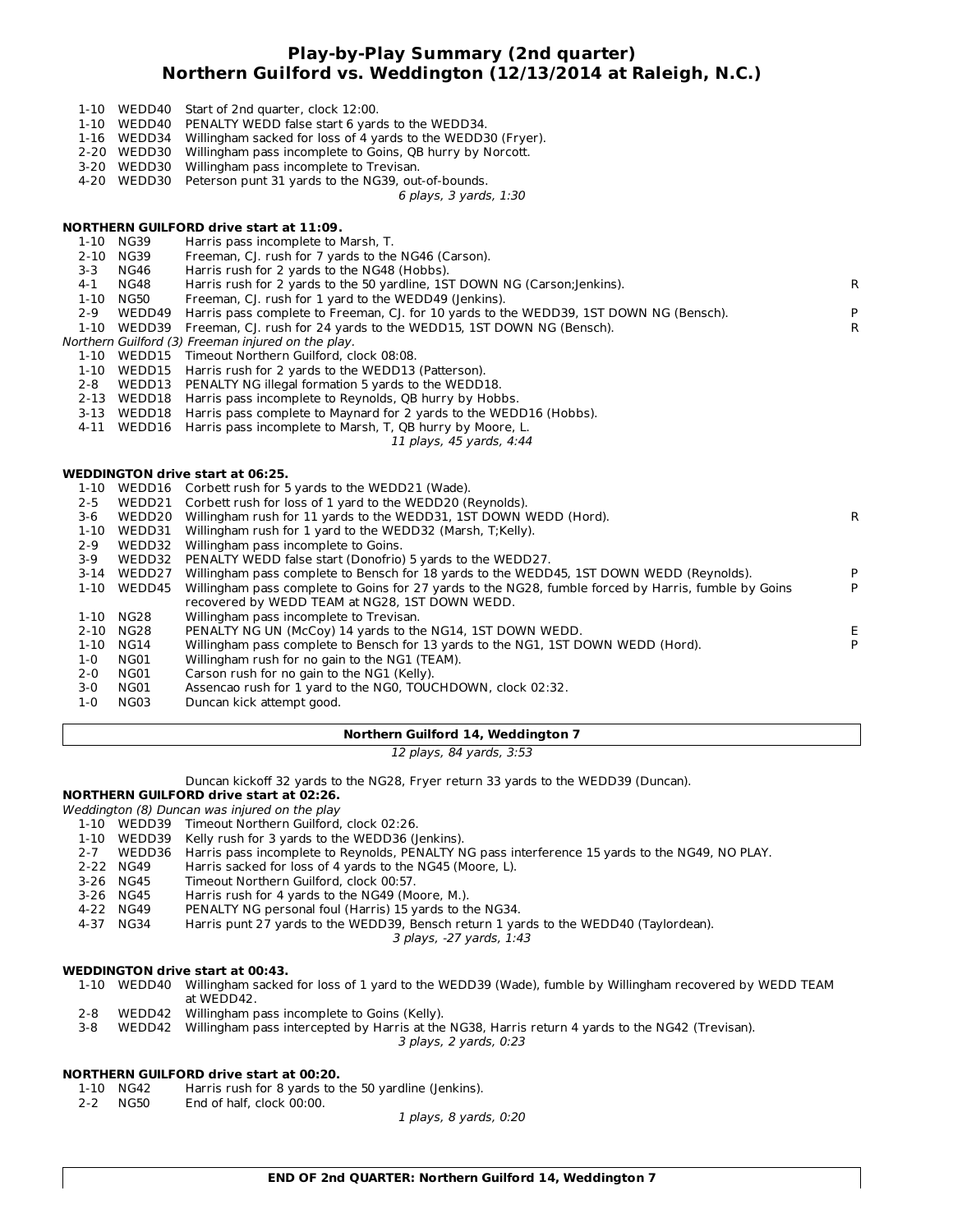#### **Play-by-Play Summary (2nd quarter) Northern Guilford vs. Weddington (12/13/2014 at Raleigh, N.C.)**

- 1-10 WEDD40 Start of 2nd quarter, clock 12:00.
- 1-10 WEDD40 PENALTY WEDD false start 6 yards to the WEDD34.
- 1-16 WEDD34 Willingham sacked for loss of 4 yards to the WEDD30 (Fryer).<br>2-20 WEDD30 Willingham pass incomplete to Goins, QB hurry by Norcott.
- Willingham pass incomplete to Goins, QB hurry by Norcott.
- 3-20 WEDD30 Willingham pass incomplete to Trevisan.
- 4-20 WEDD30 Peterson punt 31 yards to the NG39, out-of-bounds.

6 plays, 3 yards, 1:30

#### **NORTHERN GUILFORD drive start at 11:09.**

|              | Harris pass incomplete to Marsh, T.                                                                         |                                                                                                                                                                                                                                                                                                                                                                                                                                                                                                                                                                                                                                                                                                                                                                                                                                                                                                                                                                                                                                                                                                                                                                                        |
|--------------|-------------------------------------------------------------------------------------------------------------|----------------------------------------------------------------------------------------------------------------------------------------------------------------------------------------------------------------------------------------------------------------------------------------------------------------------------------------------------------------------------------------------------------------------------------------------------------------------------------------------------------------------------------------------------------------------------------------------------------------------------------------------------------------------------------------------------------------------------------------------------------------------------------------------------------------------------------------------------------------------------------------------------------------------------------------------------------------------------------------------------------------------------------------------------------------------------------------------------------------------------------------------------------------------------------------|
| NG39         | Freeman, CJ. rush for 7 yards to the NG46 (Carson).                                                         |                                                                                                                                                                                                                                                                                                                                                                                                                                                                                                                                                                                                                                                                                                                                                                                                                                                                                                                                                                                                                                                                                                                                                                                        |
| <b>NG46</b>  | Harris rush for 2 yards to the NG48 (Hobbs).                                                                |                                                                                                                                                                                                                                                                                                                                                                                                                                                                                                                                                                                                                                                                                                                                                                                                                                                                                                                                                                                                                                                                                                                                                                                        |
| NG48         | Harris rush for 2 yards to the 50 yardline, 1ST DOWN NG (Carson; Jenkins).                                  | R.                                                                                                                                                                                                                                                                                                                                                                                                                                                                                                                                                                                                                                                                                                                                                                                                                                                                                                                                                                                                                                                                                                                                                                                     |
| NG50         | Freeman, CJ. rush for 1 yard to the WEDD49 (Jenkins).                                                       |                                                                                                                                                                                                                                                                                                                                                                                                                                                                                                                                                                                                                                                                                                                                                                                                                                                                                                                                                                                                                                                                                                                                                                                        |
| WEDD49       |                                                                                                             | P                                                                                                                                                                                                                                                                                                                                                                                                                                                                                                                                                                                                                                                                                                                                                                                                                                                                                                                                                                                                                                                                                                                                                                                      |
| WEDD39       |                                                                                                             | $\mathsf{R}$                                                                                                                                                                                                                                                                                                                                                                                                                                                                                                                                                                                                                                                                                                                                                                                                                                                                                                                                                                                                                                                                                                                                                                           |
|              |                                                                                                             |                                                                                                                                                                                                                                                                                                                                                                                                                                                                                                                                                                                                                                                                                                                                                                                                                                                                                                                                                                                                                                                                                                                                                                                        |
|              |                                                                                                             |                                                                                                                                                                                                                                                                                                                                                                                                                                                                                                                                                                                                                                                                                                                                                                                                                                                                                                                                                                                                                                                                                                                                                                                        |
|              |                                                                                                             |                                                                                                                                                                                                                                                                                                                                                                                                                                                                                                                                                                                                                                                                                                                                                                                                                                                                                                                                                                                                                                                                                                                                                                                        |
|              |                                                                                                             |                                                                                                                                                                                                                                                                                                                                                                                                                                                                                                                                                                                                                                                                                                                                                                                                                                                                                                                                                                                                                                                                                                                                                                                        |
|              |                                                                                                             |                                                                                                                                                                                                                                                                                                                                                                                                                                                                                                                                                                                                                                                                                                                                                                                                                                                                                                                                                                                                                                                                                                                                                                                        |
|              |                                                                                                             |                                                                                                                                                                                                                                                                                                                                                                                                                                                                                                                                                                                                                                                                                                                                                                                                                                                                                                                                                                                                                                                                                                                                                                                        |
|              |                                                                                                             |                                                                                                                                                                                                                                                                                                                                                                                                                                                                                                                                                                                                                                                                                                                                                                                                                                                                                                                                                                                                                                                                                                                                                                                        |
|              | 11 plays, 45 yards, 4:44                                                                                    |                                                                                                                                                                                                                                                                                                                                                                                                                                                                                                                                                                                                                                                                                                                                                                                                                                                                                                                                                                                                                                                                                                                                                                                        |
|              |                                                                                                             |                                                                                                                                                                                                                                                                                                                                                                                                                                                                                                                                                                                                                                                                                                                                                                                                                                                                                                                                                                                                                                                                                                                                                                                        |
|              |                                                                                                             |                                                                                                                                                                                                                                                                                                                                                                                                                                                                                                                                                                                                                                                                                                                                                                                                                                                                                                                                                                                                                                                                                                                                                                                        |
|              |                                                                                                             |                                                                                                                                                                                                                                                                                                                                                                                                                                                                                                                                                                                                                                                                                                                                                                                                                                                                                                                                                                                                                                                                                                                                                                                        |
|              |                                                                                                             |                                                                                                                                                                                                                                                                                                                                                                                                                                                                                                                                                                                                                                                                                                                                                                                                                                                                                                                                                                                                                                                                                                                                                                                        |
|              |                                                                                                             | R.                                                                                                                                                                                                                                                                                                                                                                                                                                                                                                                                                                                                                                                                                                                                                                                                                                                                                                                                                                                                                                                                                                                                                                                     |
|              |                                                                                                             |                                                                                                                                                                                                                                                                                                                                                                                                                                                                                                                                                                                                                                                                                                                                                                                                                                                                                                                                                                                                                                                                                                                                                                                        |
|              |                                                                                                             |                                                                                                                                                                                                                                                                                                                                                                                                                                                                                                                                                                                                                                                                                                                                                                                                                                                                                                                                                                                                                                                                                                                                                                                        |
|              |                                                                                                             |                                                                                                                                                                                                                                                                                                                                                                                                                                                                                                                                                                                                                                                                                                                                                                                                                                                                                                                                                                                                                                                                                                                                                                                        |
|              |                                                                                                             | P                                                                                                                                                                                                                                                                                                                                                                                                                                                                                                                                                                                                                                                                                                                                                                                                                                                                                                                                                                                                                                                                                                                                                                                      |
| WEDD45       | Willingham pass complete to Goins for 27 yards to the NG28, fumble forced by Harris, fumble by Goins        | P                                                                                                                                                                                                                                                                                                                                                                                                                                                                                                                                                                                                                                                                                                                                                                                                                                                                                                                                                                                                                                                                                                                                                                                      |
|              | recovered by WEDD TEAM at NG28, 1ST DOWN WEDD.                                                              |                                                                                                                                                                                                                                                                                                                                                                                                                                                                                                                                                                                                                                                                                                                                                                                                                                                                                                                                                                                                                                                                                                                                                                                        |
| NG28         | Willingham pass incomplete to Trevisan.                                                                     |                                                                                                                                                                                                                                                                                                                                                                                                                                                                                                                                                                                                                                                                                                                                                                                                                                                                                                                                                                                                                                                                                                                                                                                        |
| NG28         | PENALTY NG UN (McCoy) 14 yards to the NG14, 1ST DOWN WEDD.                                                  | Е.                                                                                                                                                                                                                                                                                                                                                                                                                                                                                                                                                                                                                                                                                                                                                                                                                                                                                                                                                                                                                                                                                                                                                                                     |
|              |                                                                                                             |                                                                                                                                                                                                                                                                                                                                                                                                                                                                                                                                                                                                                                                                                                                                                                                                                                                                                                                                                                                                                                                                                                                                                                                        |
| NG14         | Willingham pass complete to Bensch for 13 yards to the NG1, 1ST DOWN WEDD (Hord).                           | P                                                                                                                                                                                                                                                                                                                                                                                                                                                                                                                                                                                                                                                                                                                                                                                                                                                                                                                                                                                                                                                                                                                                                                                      |
| NG01         | Willingham rush for no gain to the NG1 (TEAM).                                                              |                                                                                                                                                                                                                                                                                                                                                                                                                                                                                                                                                                                                                                                                                                                                                                                                                                                                                                                                                                                                                                                                                                                                                                                        |
| NG01<br>NG01 | Carson rush for no gain to the NG1 (Kelly).<br>Assencao rush for 1 yard to the NG0, TOUCHDOWN, clock 02:32. |                                                                                                                                                                                                                                                                                                                                                                                                                                                                                                                                                                                                                                                                                                                                                                                                                                                                                                                                                                                                                                                                                                                                                                                        |
| $1 - 10$     | 1-10 NG39<br>$1 - 10$                                                                                       | Harris pass complete to Freeman, CJ. for 10 yards to the WEDD39, 1ST DOWN NG (Bensch).<br>Freeman, CJ. rush for 24 yards to the WEDD15, 1ST DOWN NG (Bensch).<br>Northern Guilford (3) Freeman injured on the play.<br>1-10 WEDD15 Timeout Northern Guilford, clock 08:08.<br>WEDD15 Harris rush for 2 yards to the WEDD13 (Patterson).<br>WEDD13 PENALTY NG illegal formation 5 yards to the WEDD18.<br>2-13 WEDD18 Harris pass incomplete to Reynolds, QB hurry by Hobbs.<br>3-13 WEDD18 Harris pass complete to Maynard for 2 yards to the WEDD16 (Hobbs).<br>4-11 WEDD16 Harris pass incomplete to Marsh, T, QB hurry by Moore, L.<br><b>WEDDINGTON drive start at 06:25.</b><br>WEDD16 Corbett rush for 5 yards to the WEDD21 (Wade).<br>WEDD21 Corbett rush for loss of 1 yard to the WEDD20 (Reynolds).<br>WEDD20 Willingham rush for 11 yards to the WEDD31, 1ST DOWN WEDD (Hord).<br>WEDD31 Willingham rush for 1 yard to the WEDD32 (Marsh, T;Kelly).<br>WEDD32 Willingham pass incomplete to Goins.<br>WEDD32 PENALTY WEDD false start (Donofrio) 5 yards to the WEDD27.<br>WEDD27 Willingham pass complete to Bensch for 18 yards to the WEDD45, 1ST DOWN WEDD (Reynolds). |

1-0 NG03 Duncan kick attempt good.

#### **Northern Guilford 14, Weddington 7**

12 plays, 84 yards, 3:53

Duncan kickoff 32 yards to the NG28, Fryer return 33 yards to the WEDD39 (Duncan).

#### **NORTHERN GUILFORD drive start at 02:26.**

- Weddington (8) Duncan was injured on the play
- 1-10 WEDD39 Timeout Northern Guilford, clock 02:26.
- Kelly rush for 3 yards to the WEDD36 (Jenkins).
- 2-7 WEDD36 Harris pass incomplete to Reynolds, PENALTY NG pass interference 15 yards to the NG49, NO PLAY.<br>2-22 NG49 Harris sacked for loss of 4 yards to the NG45 (Moore, L).
- Harris sacked for loss of 4 yards to the NG45 (Moore, L).
- 3-26 NG45 Timeout Northern Guilford, clock 00:57.<br>3-26 NG45 Harris rush for 4 yards to the NG49 (Mo
- 3-26 NG45 Harris rush for 4 yards to the NG49 (Moore, M.).<br>4-22 NG49 PENALTY NG personal foul (Harris) 15 vards to the
- PENALTY NG personal foul (Harris) 15 yards to the NG34.
- 4-37 NG34 Harris punt 27 yards to the WEDD39, Bensch return 1 yards to the WEDD40 (Taylordean).

3 plays, -27 yards, 1:43

#### **WEDDINGTON drive start at 00:43.**

- 1-10 WEDD40 Willingham sacked for loss of 1 yard to the WEDD39 (Wade), fumble by Willingham recovered by WEDD TEAM at WEDD42.
- 2-8 WEDD42 Willingham pass incomplete to Goins (Kelly).
- 3-8 WEDD42 Willingham pass intercepted by Harris at the NG38, Harris return 4 yards to the NG42 (Trevisan).

3 plays, 2 yards, 0:23

#### **NORTHERN GUILFORD drive start at 00:20.**

- 1-10 NG42 Harris rush for 8 yards to the 50 yardline (Jenkins).
- 2-2 NG50 End of half, clock 00:00.

1 plays, 8 yards, 0:20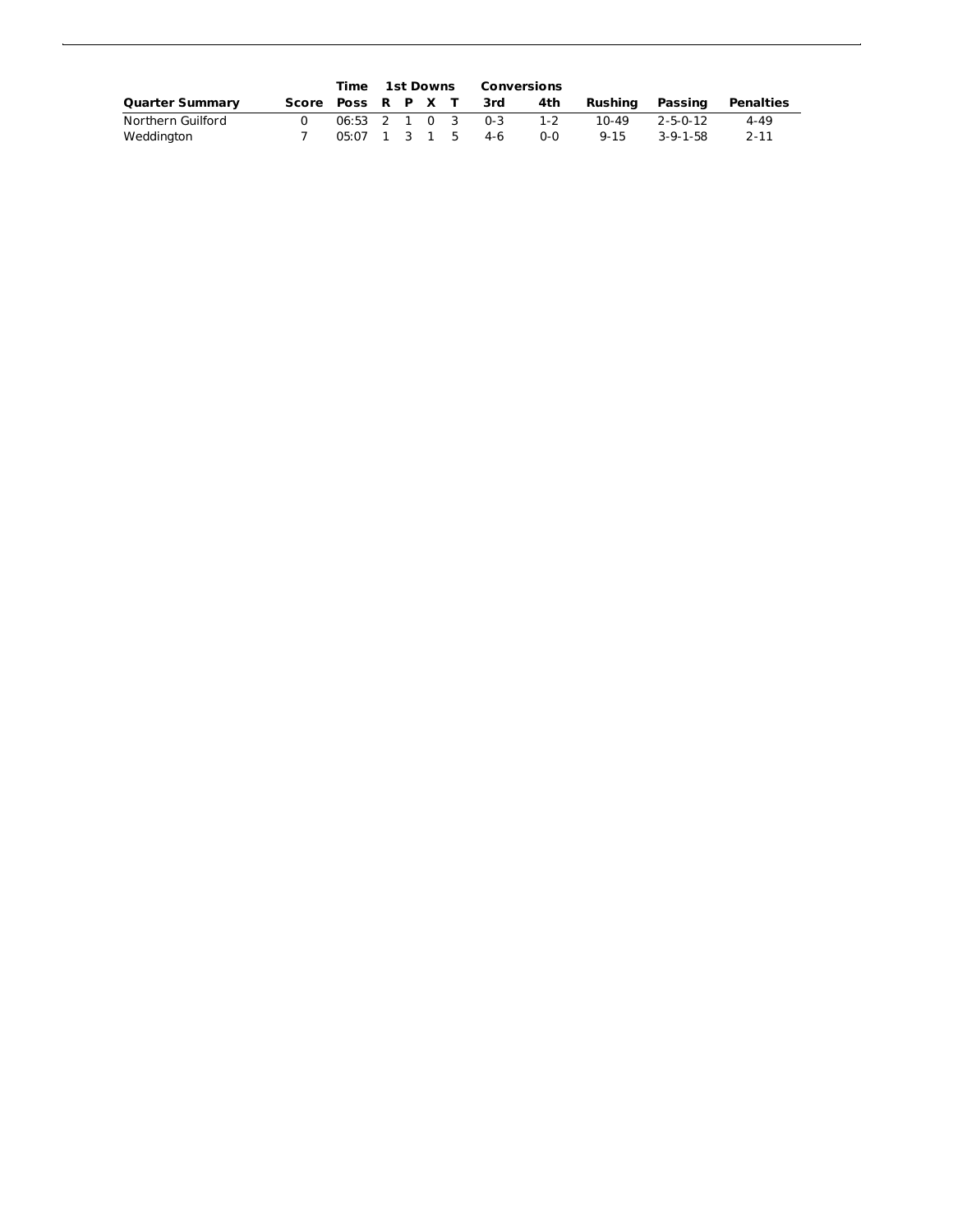|                        |                     | Time 1st Downs |  |  | Conversions            |       |          |            |                           |
|------------------------|---------------------|----------------|--|--|------------------------|-------|----------|------------|---------------------------|
| <b>Quarter Summary</b> |                     |                |  |  | Score Poss R P X T 3rd | 4th   |          |            | Rushing Passing Penalties |
| Northern Guilford      |                     |                |  |  | 06:53 2 1 0 3 0-3      | $1-2$ | 10-49    | 2-5-0-12   | 4-49                      |
| Weddington             | $05:07$ 1 3 1 5 4-6 |                |  |  |                        | ი-ი   | $9 - 15$ | $3-9-1-58$ | $2 - 11$                  |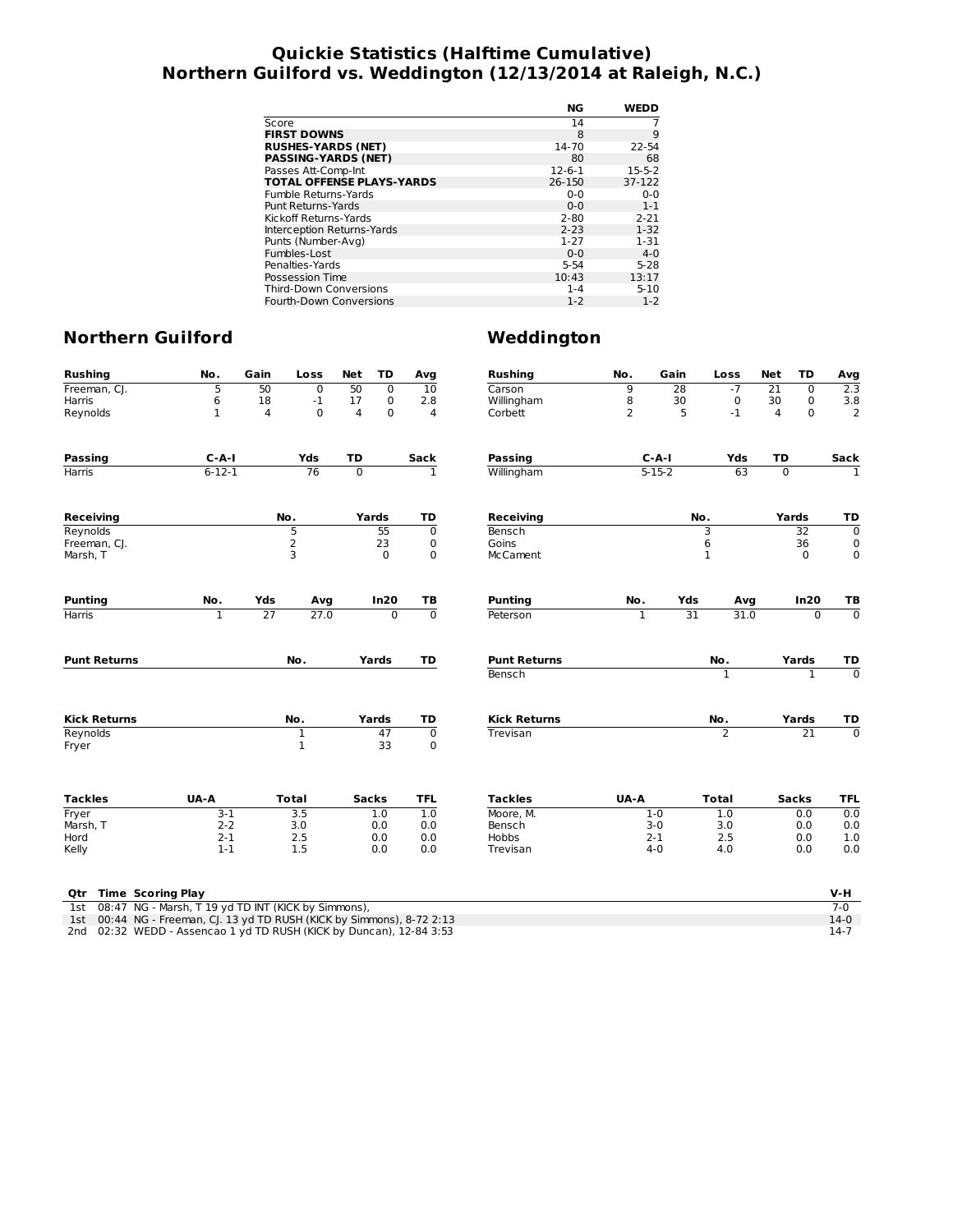## **Quickie Statistics (Halftime Cumulative) Northern Guilford vs. Weddington (12/13/2014 at Raleigh, N.C.)**

|                                  | NG           | <b>WEDD</b>  |
|----------------------------------|--------------|--------------|
| Score                            | 14           |              |
| <b>FIRST DOWNS</b>               | 8            | 9            |
| <b>RUSHES-YARDS (NET)</b>        | 14-70        | 22-54        |
| <b>PASSING-YARDS (NET)</b>       | 80           | 68           |
| Passes Att-Comp-Int              | $12 - 6 - 1$ | $15 - 5 - 2$ |
| <b>TOTAL OFFENSE PLAYS-YARDS</b> | 26-150       | 37-122       |
| Fumble Returns-Yards             | $0 - 0$      | $0 - 0$      |
| <b>Punt Returns-Yards</b>        | $0 - 0$      | $1 - 1$      |
| Kickoff Returns-Yards            | $2 - 80$     | $2 - 21$     |
| Interception Returns-Yards       | $2 - 23$     | $1 - 32$     |
| Punts (Number-Avg)               | $1 - 27$     | $1 - 31$     |
| Fumbles-Lost                     | $0 - 0$      | $4 - 0$      |
| Penalties-Yards                  | $5 - 54$     | $5 - 28$     |
| Possession Time                  | 10:43        | 13:17        |
| <b>Third-Down Conversions</b>    | $1 - 4$      | $5 - 10$     |
| <b>Fourth-Down Conversions</b>   | $1 - 2$      | $1 - 2$      |

| $-7$<br>Freeman, CJ.<br>5<br>50<br>$\overline{0}$<br>50<br>$\overline{0}$<br>9<br>$\overline{28}$<br>21<br>$\overline{10}$<br>Carson<br>$\mathbf 0$<br>18<br>8<br>Harris<br>6<br>$-1$<br>17<br>0<br>2.8<br>Willingham<br>30<br>$\mathbf 0$<br>30<br>$\mathbf 0$<br>$\mathbf{1}$<br>$\mathbf 0$<br>2<br>5<br>$-1$<br>Reynolds<br>4<br>$\Omega$<br>4<br>Corbett<br>4<br>0<br>4<br>TD<br>$C-A-I$<br>Yds<br>TD<br>Sack<br>$C-A-I$<br>Yds<br><b>Passing</b><br>Passing<br>Sack<br>$6 - 12 - 1$<br>76<br>$5 - 15 - 2$<br>63<br>$\overline{0}$<br>$\overline{0}$<br><b>Harris</b><br>$\mathbf{1}$<br>Willingham<br>No.<br>Yards<br>Yards<br><b>Receiving</b><br>TD<br>Receiving<br>No.<br>Reynolds<br>5<br>$\overline{55}$<br>$\overline{0}$<br>3<br>32<br>Bensch<br>2<br>6<br>23<br>Goins<br>36<br>Freeman, CJ.<br>0<br>3<br>Marsh, T<br>0<br>$\mathbf 0$<br>McCament<br>$\mathbf 1$<br>$\Omega$<br>No.<br>Yds<br>In20<br><b>Punting</b><br>Yds<br>In20<br><b>Punting</b><br>Avg<br>ТB<br>No.<br>Avg<br>27<br>$\overline{0}$<br>$\overline{31}$<br>27.0<br>$\overline{0}$<br>$\overline{1}$<br>31.0<br>$\overline{0}$<br>Harris<br>$\mathbf{1}$<br>Peterson<br><b>Punt Returns</b><br>No.<br>Yards<br>TD<br><b>Punt Returns</b><br>No.<br>Yards<br>Bensch<br>1<br>1<br><b>Kick Returns</b><br>No.<br>TD<br><b>Kick Returns</b><br>No.<br>Yards<br>Yards<br>TD<br>$\overline{2}$<br>Reynolds<br>$\mathbf{1}$<br>47<br>$\mathbf 0$<br>$\overline{21}$<br>Trevisan<br>$\mathbf{1}$<br>33<br>0<br>Fryer<br>UA-A<br><b>Tackles</b><br>UA-A<br><b>Tackles</b><br><b>Total</b><br><b>Sacks</b><br><b>TFL</b><br><b>Total</b><br><b>Sacks</b><br>$3-1$<br>3.5<br>Fryer<br>1.0<br>1.0<br>Moore, M.<br>$1-0$<br>1.0<br>0.0<br>Marsh, T<br>$2 - 2$<br>3.0<br>$3 - 0$<br>3.0<br>0.0<br>0.0<br>Bensch<br>0.0<br>$2 - 1$<br>2.5<br>0.0<br>$2 - 1$<br>2.5<br>0.0<br>Hord<br>0.0<br><b>Hobbs</b><br>$1 - 1$<br>Kelly<br>1.5<br>0.0<br>$4 - 0$<br>4.0<br>0.0<br>0.0<br>Trevisan<br><b>Time Scoring Play</b><br>V-H<br>Qtr<br>08:47 NG - Marsh, T 19 yd TD INT (KICK by Simmons),<br>$7 - 0$<br>1st<br>00:44 NG - Freeman, CJ. 13 yd TD RUSH (KICK by Simmons), 8-72 2:13<br>$14-0$<br>1st<br>02:32 WEDD - Assencao 1 yd TD RUSH (KICK by Duncan), 12-84 3:53 | <b>Rushing</b> | No. | Gain | Loss | <b>Net</b> | TD | Avg | <b>Rushing</b> | No. | Gain | Loss | <b>Net</b> | TD | Avg                       |
|---------------------------------------------------------------------------------------------------------------------------------------------------------------------------------------------------------------------------------------------------------------------------------------------------------------------------------------------------------------------------------------------------------------------------------------------------------------------------------------------------------------------------------------------------------------------------------------------------------------------------------------------------------------------------------------------------------------------------------------------------------------------------------------------------------------------------------------------------------------------------------------------------------------------------------------------------------------------------------------------------------------------------------------------------------------------------------------------------------------------------------------------------------------------------------------------------------------------------------------------------------------------------------------------------------------------------------------------------------------------------------------------------------------------------------------------------------------------------------------------------------------------------------------------------------------------------------------------------------------------------------------------------------------------------------------------------------------------------------------------------------------------------------------------------------------------------------------------------------------------------------------------------------------------------------------------------------------------------------------------------------------------------------------------------------------------------------------------------------------------------------------------------------------------------------------------------------------------------------------|----------------|-----|------|------|------------|----|-----|----------------|-----|------|------|------------|----|---------------------------|
|                                                                                                                                                                                                                                                                                                                                                                                                                                                                                                                                                                                                                                                                                                                                                                                                                                                                                                                                                                                                                                                                                                                                                                                                                                                                                                                                                                                                                                                                                                                                                                                                                                                                                                                                                                                                                                                                                                                                                                                                                                                                                                                                                                                                                                       |                |     |      |      |            |    |     |                |     |      |      |            |    | 2.3                       |
|                                                                                                                                                                                                                                                                                                                                                                                                                                                                                                                                                                                                                                                                                                                                                                                                                                                                                                                                                                                                                                                                                                                                                                                                                                                                                                                                                                                                                                                                                                                                                                                                                                                                                                                                                                                                                                                                                                                                                                                                                                                                                                                                                                                                                                       |                |     |      |      |            |    |     |                |     |      |      |            |    | 3.8                       |
|                                                                                                                                                                                                                                                                                                                                                                                                                                                                                                                                                                                                                                                                                                                                                                                                                                                                                                                                                                                                                                                                                                                                                                                                                                                                                                                                                                                                                                                                                                                                                                                                                                                                                                                                                                                                                                                                                                                                                                                                                                                                                                                                                                                                                                       |                |     |      |      |            |    |     |                |     |      |      |            |    | $\overline{2}$            |
|                                                                                                                                                                                                                                                                                                                                                                                                                                                                                                                                                                                                                                                                                                                                                                                                                                                                                                                                                                                                                                                                                                                                                                                                                                                                                                                                                                                                                                                                                                                                                                                                                                                                                                                                                                                                                                                                                                                                                                                                                                                                                                                                                                                                                                       |                |     |      |      |            |    |     |                |     |      |      |            |    |                           |
|                                                                                                                                                                                                                                                                                                                                                                                                                                                                                                                                                                                                                                                                                                                                                                                                                                                                                                                                                                                                                                                                                                                                                                                                                                                                                                                                                                                                                                                                                                                                                                                                                                                                                                                                                                                                                                                                                                                                                                                                                                                                                                                                                                                                                                       |                |     |      |      |            |    |     |                |     |      |      |            |    |                           |
|                                                                                                                                                                                                                                                                                                                                                                                                                                                                                                                                                                                                                                                                                                                                                                                                                                                                                                                                                                                                                                                                                                                                                                                                                                                                                                                                                                                                                                                                                                                                                                                                                                                                                                                                                                                                                                                                                                                                                                                                                                                                                                                                                                                                                                       |                |     |      |      |            |    |     |                |     |      |      |            |    | $\mathbf{1}$              |
|                                                                                                                                                                                                                                                                                                                                                                                                                                                                                                                                                                                                                                                                                                                                                                                                                                                                                                                                                                                                                                                                                                                                                                                                                                                                                                                                                                                                                                                                                                                                                                                                                                                                                                                                                                                                                                                                                                                                                                                                                                                                                                                                                                                                                                       |                |     |      |      |            |    |     |                |     |      |      |            | TD |                           |
|                                                                                                                                                                                                                                                                                                                                                                                                                                                                                                                                                                                                                                                                                                                                                                                                                                                                                                                                                                                                                                                                                                                                                                                                                                                                                                                                                                                                                                                                                                                                                                                                                                                                                                                                                                                                                                                                                                                                                                                                                                                                                                                                                                                                                                       |                |     |      |      |            |    |     |                |     |      |      |            |    | $\overline{\mathfrak{o}}$ |
|                                                                                                                                                                                                                                                                                                                                                                                                                                                                                                                                                                                                                                                                                                                                                                                                                                                                                                                                                                                                                                                                                                                                                                                                                                                                                                                                                                                                                                                                                                                                                                                                                                                                                                                                                                                                                                                                                                                                                                                                                                                                                                                                                                                                                                       |                |     |      |      |            |    |     |                |     |      |      |            |    | $\mathbf 0$               |
|                                                                                                                                                                                                                                                                                                                                                                                                                                                                                                                                                                                                                                                                                                                                                                                                                                                                                                                                                                                                                                                                                                                                                                                                                                                                                                                                                                                                                                                                                                                                                                                                                                                                                                                                                                                                                                                                                                                                                                                                                                                                                                                                                                                                                                       |                |     |      |      |            |    |     |                |     |      |      |            |    | $\mathbf 0$               |
|                                                                                                                                                                                                                                                                                                                                                                                                                                                                                                                                                                                                                                                                                                                                                                                                                                                                                                                                                                                                                                                                                                                                                                                                                                                                                                                                                                                                                                                                                                                                                                                                                                                                                                                                                                                                                                                                                                                                                                                                                                                                                                                                                                                                                                       |                |     |      |      |            |    |     |                |     |      |      |            |    | TВ                        |
|                                                                                                                                                                                                                                                                                                                                                                                                                                                                                                                                                                                                                                                                                                                                                                                                                                                                                                                                                                                                                                                                                                                                                                                                                                                                                                                                                                                                                                                                                                                                                                                                                                                                                                                                                                                                                                                                                                                                                                                                                                                                                                                                                                                                                                       |                |     |      |      |            |    |     |                |     |      |      |            |    | $\overline{0}$            |
|                                                                                                                                                                                                                                                                                                                                                                                                                                                                                                                                                                                                                                                                                                                                                                                                                                                                                                                                                                                                                                                                                                                                                                                                                                                                                                                                                                                                                                                                                                                                                                                                                                                                                                                                                                                                                                                                                                                                                                                                                                                                                                                                                                                                                                       |                |     |      |      |            |    |     |                |     |      |      |            |    |                           |
|                                                                                                                                                                                                                                                                                                                                                                                                                                                                                                                                                                                                                                                                                                                                                                                                                                                                                                                                                                                                                                                                                                                                                                                                                                                                                                                                                                                                                                                                                                                                                                                                                                                                                                                                                                                                                                                                                                                                                                                                                                                                                                                                                                                                                                       |                |     |      |      |            |    |     |                |     |      |      |            |    | TD                        |
|                                                                                                                                                                                                                                                                                                                                                                                                                                                                                                                                                                                                                                                                                                                                                                                                                                                                                                                                                                                                                                                                                                                                                                                                                                                                                                                                                                                                                                                                                                                                                                                                                                                                                                                                                                                                                                                                                                                                                                                                                                                                                                                                                                                                                                       |                |     |      |      |            |    |     |                |     |      |      |            |    | $\overline{\mathfrak{o}}$ |
|                                                                                                                                                                                                                                                                                                                                                                                                                                                                                                                                                                                                                                                                                                                                                                                                                                                                                                                                                                                                                                                                                                                                                                                                                                                                                                                                                                                                                                                                                                                                                                                                                                                                                                                                                                                                                                                                                                                                                                                                                                                                                                                                                                                                                                       |                |     |      |      |            |    |     |                |     |      |      |            |    |                           |
|                                                                                                                                                                                                                                                                                                                                                                                                                                                                                                                                                                                                                                                                                                                                                                                                                                                                                                                                                                                                                                                                                                                                                                                                                                                                                                                                                                                                                                                                                                                                                                                                                                                                                                                                                                                                                                                                                                                                                                                                                                                                                                                                                                                                                                       |                |     |      |      |            |    |     |                |     |      |      |            |    | $\overline{0}$            |
|                                                                                                                                                                                                                                                                                                                                                                                                                                                                                                                                                                                                                                                                                                                                                                                                                                                                                                                                                                                                                                                                                                                                                                                                                                                                                                                                                                                                                                                                                                                                                                                                                                                                                                                                                                                                                                                                                                                                                                                                                                                                                                                                                                                                                                       |                |     |      |      |            |    |     |                |     |      |      |            |    |                           |
|                                                                                                                                                                                                                                                                                                                                                                                                                                                                                                                                                                                                                                                                                                                                                                                                                                                                                                                                                                                                                                                                                                                                                                                                                                                                                                                                                                                                                                                                                                                                                                                                                                                                                                                                                                                                                                                                                                                                                                                                                                                                                                                                                                                                                                       |                |     |      |      |            |    |     |                |     |      |      |            |    | <b>TFL</b>                |
|                                                                                                                                                                                                                                                                                                                                                                                                                                                                                                                                                                                                                                                                                                                                                                                                                                                                                                                                                                                                                                                                                                                                                                                                                                                                                                                                                                                                                                                                                                                                                                                                                                                                                                                                                                                                                                                                                                                                                                                                                                                                                                                                                                                                                                       |                |     |      |      |            |    |     |                |     |      |      |            |    | 0.0                       |
|                                                                                                                                                                                                                                                                                                                                                                                                                                                                                                                                                                                                                                                                                                                                                                                                                                                                                                                                                                                                                                                                                                                                                                                                                                                                                                                                                                                                                                                                                                                                                                                                                                                                                                                                                                                                                                                                                                                                                                                                                                                                                                                                                                                                                                       |                |     |      |      |            |    |     |                |     |      |      |            |    | 0.0                       |
|                                                                                                                                                                                                                                                                                                                                                                                                                                                                                                                                                                                                                                                                                                                                                                                                                                                                                                                                                                                                                                                                                                                                                                                                                                                                                                                                                                                                                                                                                                                                                                                                                                                                                                                                                                                                                                                                                                                                                                                                                                                                                                                                                                                                                                       |                |     |      |      |            |    |     |                |     |      |      |            |    | 1.0                       |
|                                                                                                                                                                                                                                                                                                                                                                                                                                                                                                                                                                                                                                                                                                                                                                                                                                                                                                                                                                                                                                                                                                                                                                                                                                                                                                                                                                                                                                                                                                                                                                                                                                                                                                                                                                                                                                                                                                                                                                                                                                                                                                                                                                                                                                       |                |     |      |      |            |    |     |                |     |      |      |            |    | 0.0                       |
|                                                                                                                                                                                                                                                                                                                                                                                                                                                                                                                                                                                                                                                                                                                                                                                                                                                                                                                                                                                                                                                                                                                                                                                                                                                                                                                                                                                                                                                                                                                                                                                                                                                                                                                                                                                                                                                                                                                                                                                                                                                                                                                                                                                                                                       |                |     |      |      |            |    |     |                |     |      |      |            |    |                           |
|                                                                                                                                                                                                                                                                                                                                                                                                                                                                                                                                                                                                                                                                                                                                                                                                                                                                                                                                                                                                                                                                                                                                                                                                                                                                                                                                                                                                                                                                                                                                                                                                                                                                                                                                                                                                                                                                                                                                                                                                                                                                                                                                                                                                                                       |                |     |      |      |            |    |     |                |     |      |      |            |    |                           |
|                                                                                                                                                                                                                                                                                                                                                                                                                                                                                                                                                                                                                                                                                                                                                                                                                                                                                                                                                                                                                                                                                                                                                                                                                                                                                                                                                                                                                                                                                                                                                                                                                                                                                                                                                                                                                                                                                                                                                                                                                                                                                                                                                                                                                                       |                |     |      |      |            |    |     |                |     |      |      |            |    |                           |
|                                                                                                                                                                                                                                                                                                                                                                                                                                                                                                                                                                                                                                                                                                                                                                                                                                                                                                                                                                                                                                                                                                                                                                                                                                                                                                                                                                                                                                                                                                                                                                                                                                                                                                                                                                                                                                                                                                                                                                                                                                                                                                                                                                                                                                       | 2nd            |     |      |      |            |    |     |                |     |      |      |            |    | $14-7$                    |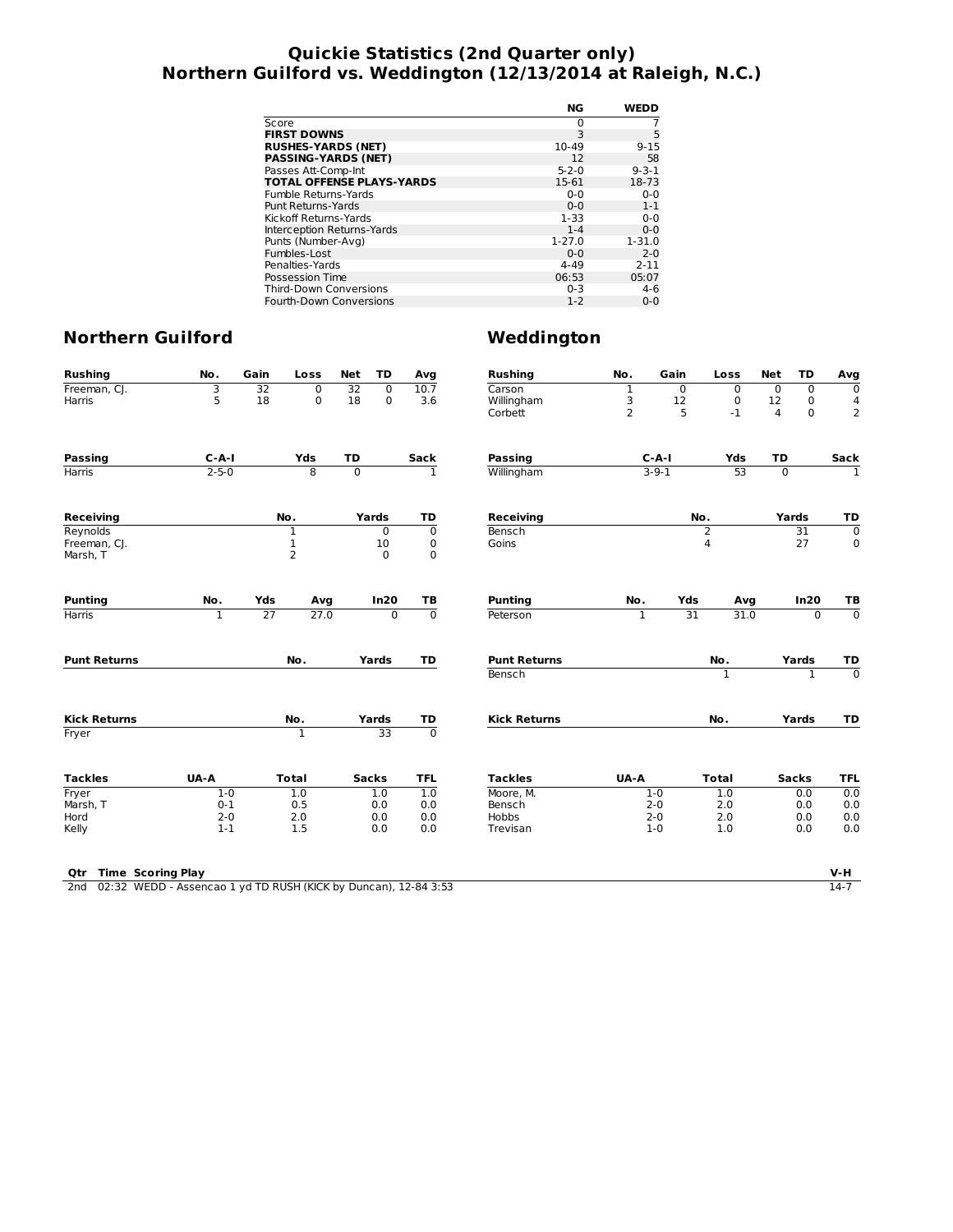## **Quickie Statistics (2nd Quarter only) Northern Guilford vs. Weddington (12/13/2014 at Raleigh, N.C.)**

|                                  | NG          | <b>WEDD</b> |
|----------------------------------|-------------|-------------|
| Score                            | 0           |             |
| <b>FIRST DOWNS</b>               | 3           | 5           |
| <b>RUSHES-YARDS (NET)</b>        | 10-49       | $9 - 15$    |
| <b>PASSING-YARDS (NET)</b>       | 12          | 58          |
| Passes Att-Comp-Int              | $5 - 2 - 0$ | $9 - 3 - 1$ |
| <b>TOTAL OFFENSE PLAYS-YARDS</b> | 15-61       | 18-73       |
| Fumble Returns-Yards             | $0 - 0$     | $0 - 0$     |
| Punt Returns-Yards               | $0 - 0$     | $1 - 1$     |
| Kickoff Returns-Yards            | $1 - 33$    | $0 - 0$     |
| Interception Returns-Yards       | $1 - 4$     | $0 - 0$     |
| Punts (Number-Avg)               | $1 - 27.0$  | $1 - 31.0$  |
| Fumbles-Lost                     | $0 - 0$     | $2 - 0$     |
| Penalties-Yards                  | $4 - 49$    | $2 - 11$    |
| Possession Time                  | 06:53       | 05:07       |
| <b>Third-Down Conversions</b>    | $0 - 3$     | $4-6$       |
| Fourth-Down Conversions          | $1 - 2$     | $0 - 0$     |

| <b>Rushing</b>                  | No.                                                             | Gain            | Loss           | <b>Net</b>     | <b>TD</b>      | Avg            | <b>Rushing</b>                | No.              | Gain        |                 | Loss         | <b>Net</b>     | <b>TD</b>       | Avg                             |
|---------------------------------|-----------------------------------------------------------------|-----------------|----------------|----------------|----------------|----------------|-------------------------------|------------------|-------------|-----------------|--------------|----------------|-----------------|---------------------------------|
| Freeman, CJ.                    | 3                                                               | $\overline{32}$ | $\mathbf 0$    | 32             | $\overline{0}$ | 10.7           | Carson                        | 1                |             | $\mathbf 0$     | $\mathbf 0$  | $\mathbf 0$    | $\mathbf 0$     | 0                               |
| Harris                          | 5                                                               | 18              | 0              | 18             | $\mathbf 0$    | 3.6            | Willingham                    | 3                |             | 12              | $\mathbf 0$  | 12             | $\mathbf 0$     | 4                               |
|                                 |                                                                 |                 |                |                |                |                | Corbett                       | $\overline{2}$   |             | 5               | $-1$         | $\overline{4}$ | $\mathbf 0$     | $\overline{2}$                  |
| <b>Passing</b>                  | $C - A - I$                                                     |                 | Yds            | TD             |                | Sack           | <b>Passing</b>                |                  | $C-A-I$     |                 | Yds          | TD             |                 | Sack                            |
| Harris                          | $2 - 5 - 0$                                                     |                 | $\overline{8}$ | $\overline{0}$ |                | $\overline{1}$ | Willingham                    |                  | $3 - 9 - 1$ |                 | 53           | $\overline{0}$ |                 | $\overline{1}$                  |
|                                 |                                                                 |                 |                |                |                |                |                               |                  |             |                 |              |                |                 |                                 |
| <b>Receiving</b>                |                                                                 |                 | No.            |                | Yards<br>TD    |                |                               | <b>Receiving</b> |             |                 | No.          |                | Yards           | TD                              |
| Reynolds                        |                                                                 |                 | $\mathbf{1}$   |                | 0              | $\overline{0}$ | Bensch                        |                  |             | $\overline{2}$  |              |                | $\overline{31}$ | $\overline{0}$                  |
| Freeman, CJ.                    |                                                                 |                 | $\mathbf 1$    |                | 10             | 0              | Goins                         |                  |             | 4               |              |                | 27              | $\mathbf 0$                     |
| Marsh, T                        |                                                                 |                 | $\overline{2}$ |                | $\mathbf 0$    | $\mathbf 0$    |                               |                  |             |                 |              |                |                 |                                 |
| <b>Punting</b>                  | No.                                                             | Yds             | Avg            |                | In20           | TB             | <b>Punting</b>                | No.              |             | Yds             | Avg          |                | In20            | ТB                              |
| <b>Harris</b>                   | $\mathbf{1}$                                                    | 27              | 27.0           |                | $\Omega$       | $\overline{0}$ | Peterson                      | 1                |             | $\overline{31}$ | 31.0         |                | $\mathbf{0}$    | $\overline{0}$                  |
| <b>Punt Returns</b>             |                                                                 |                 | No.            |                | Yards          | TD             | <b>Punt Returns</b><br>Bensch |                  |             |                 | No.<br>1     |                | Yards<br>1      | TD<br>$\overline{\mathfrak{o}}$ |
| <b>Kick Returns</b>             |                                                                 |                 | No.            |                | Yards          | TD             | <b>Kick Returns</b>           |                  |             |                 | No.          |                | Yards           | TD                              |
| Fryer                           |                                                                 |                 | 1              |                | 33             | ᅙ              |                               |                  |             |                 |              |                |                 |                                 |
| <b>Tackles</b>                  | UA-A                                                            |                 | <b>Total</b>   |                | <b>Sacks</b>   | <b>TFL</b>     | <b>Tackles</b>                | UA-A             |             |                 | <b>Total</b> |                | <b>Sacks</b>    | <b>TFL</b>                      |
| Fryer                           | $1 - 0$                                                         |                 | 1.0            |                | 1.0            | 1.0            | Moore. M.                     |                  | $1 - 0$     |                 | 1.0          |                | 0.0             | 0.0                             |
| Marsh, T                        | $0 - 1$                                                         |                 | 0.5            |                | 0.0            | 0.0            | Bensch                        |                  | $2 - 0$     |                 | 2.0          |                | 0.0             | 0.0                             |
| Hord                            | $2 - 0$                                                         |                 | 2.0            |                | 0.0            | 0.0            | <b>Hobbs</b>                  |                  | $2 - 0$     |                 | 2.0          |                | 0.0             | 0.0                             |
| Kelly                           | $1 - 1$                                                         |                 | 1.5            |                | 0.0            | 0.0            | Trevisan                      |                  | $1 - 0$     |                 | 1.0          |                | 0.0             | 0.0                             |
|                                 |                                                                 |                 |                |                |                |                |                               |                  |             |                 |              |                |                 |                                 |
| <b>Time Scoring Play</b><br>Qtr |                                                                 |                 |                |                |                |                |                               |                  |             |                 |              |                |                 | V-H                             |
| 2 <sub>nd</sub>                 | 02:32 WEDD - Assencao 1 yd TD RUSH (KICK by Duncan), 12-84 3:53 |                 |                |                |                |                |                               |                  |             |                 |              |                |                 | $14-7$                          |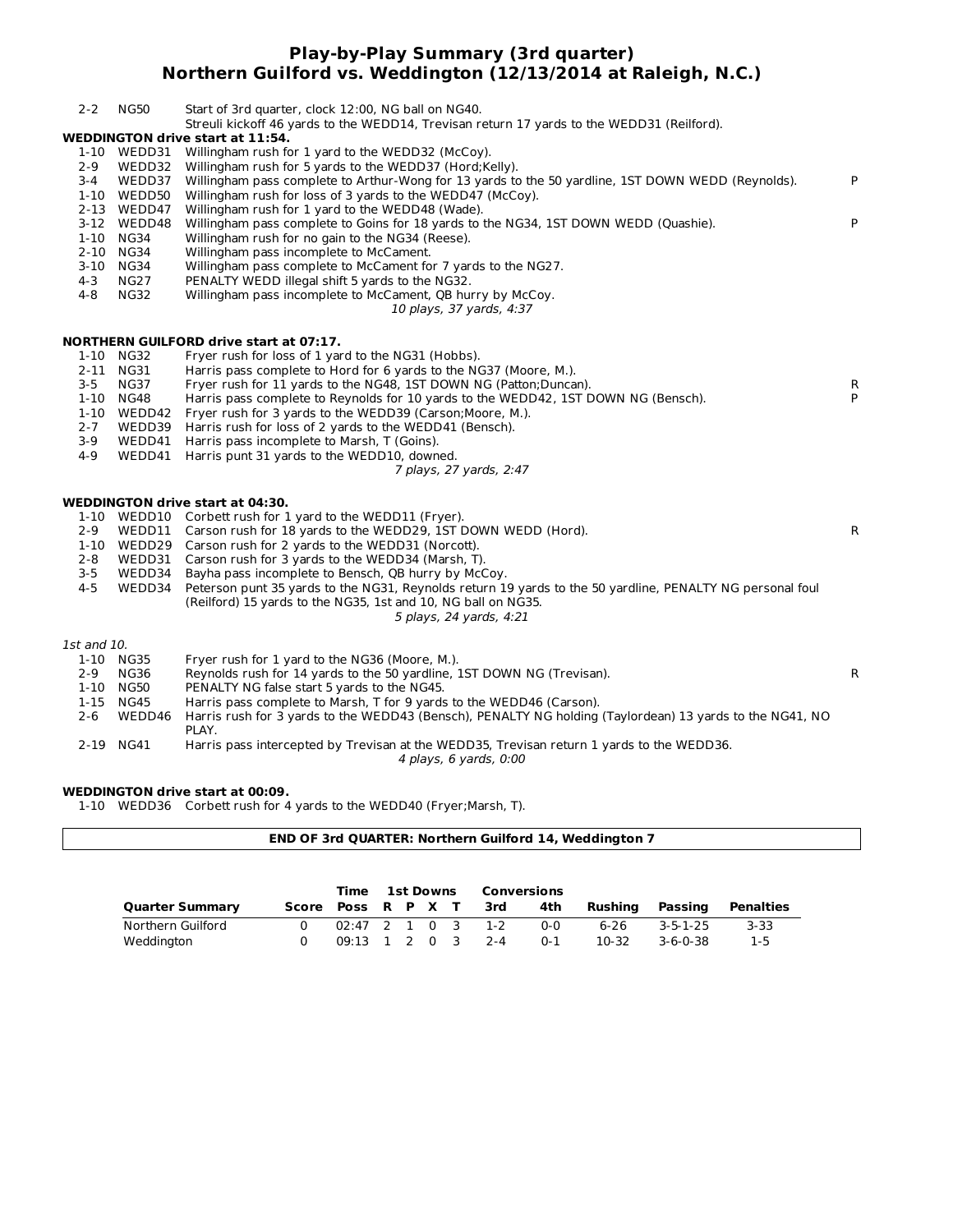#### **Play-by-Play Summary (3rd quarter) Northern Guilford vs. Weddington (12/13/2014 at Raleigh, N.C.)**

| $2 - 2$     | <b>NG50</b> | Start of 3rd quarter, clock 12:00, NG ball on NG40.<br>Streuli kickoff 46 yards to the WEDD14, Trevisan return 17 yards to the WEDD31 (Reilford). |   |
|-------------|-------------|---------------------------------------------------------------------------------------------------------------------------------------------------|---|
|             |             | <b>WEDDINGTON drive start at 11:54.</b>                                                                                                           |   |
|             |             | 1-10 WEDD31 Willingham rush for 1 yard to the WEDD32 (McCoy).                                                                                     |   |
| $2 - 9$     |             | WEDD32 Willingham rush for 5 yards to the WEDD37 (Hord;Kelly).                                                                                    |   |
| $3 - 4$     |             | WEDD37 Willingham pass complete to Arthur-Wong for 13 yards to the 50 yardline, 1ST DOWN WEDD (Reynolds).                                         | P |
|             | 1-10 WEDD50 | Willingham rush for loss of 3 yards to the WEDD47 (McCoy).                                                                                        |   |
|             | 2-13 WEDD47 | Willingham rush for 1 yard to the WEDD48 (Wade).                                                                                                  |   |
|             | 3-12 WEDD48 | Willingham pass complete to Goins for 18 yards to the NG34, 1ST DOWN WEDD (Quashie).                                                              | P |
|             | 1-10 NG34   | Willingham rush for no gain to the NG34 (Reese).                                                                                                  |   |
|             | 2-10 NG34   | Willingham pass incomplete to McCament.                                                                                                           |   |
|             | 3-10 NG34   | Willingham pass complete to McCament for 7 yards to the NG27.                                                                                     |   |
| $4 - 3$     | <b>NG27</b> | PENALTY WEDD illegal shift 5 yards to the NG32.                                                                                                   |   |
| 4-8         | <b>NG32</b> | Willingham pass incomplete to McCament, QB hurry by McCoy.                                                                                        |   |
|             |             | 10 plays, 37 yards, 4:37                                                                                                                          |   |
|             |             |                                                                                                                                                   |   |
|             |             | <b>NORTHERN GUILFORD drive start at 07:17.</b>                                                                                                    |   |
| $1-10$      | NG32        | Fryer rush for loss of 1 yard to the NG31 (Hobbs).                                                                                                |   |
|             | 2-11 NG31   | Harris pass complete to Hord for 6 yards to the NG37 (Moore, M.).                                                                                 |   |
| $3 - 5$     | <b>NG37</b> | Fryer rush for 11 yards to the NG48, 1ST DOWN NG (Patton; Duncan).                                                                                | R |
|             | 1-10 NG48   | Harris pass complete to Reynolds for 10 yards to the WEDD42, 1ST DOWN NG (Bensch).                                                                | P |
|             |             | 1-10 WEDD42 Fryer rush for 3 yards to the WEDD39 (Carson; Moore, M.).                                                                             |   |
| $2 - 7$     |             | WEDD39 Harris rush for loss of 2 yards to the WEDD41 (Bensch).                                                                                    |   |
| $3 - 9$     |             | WEDD41 Harris pass incomplete to Marsh, T (Goins).                                                                                                |   |
| $4 - 9$     |             | WEDD41 Harris punt 31 yards to the WEDD10, downed.                                                                                                |   |
|             |             | 7 plays, 27 yards, 2:47                                                                                                                           |   |
|             |             | WEDDINGTON drive start at 04:30.                                                                                                                  |   |
|             |             | 1-10 WEDD10 Corbett rush for 1 yard to the WEDD11 (Fryer).                                                                                        |   |
| $2 - 9$     |             | WEDD11 Carson rush for 18 yards to the WEDD29, 1ST DOWN WEDD (Hord).                                                                              | R |
|             |             | 1-10 WEDD29 Carson rush for 2 yards to the WEDD31 (Norcott).                                                                                      |   |
| $2 - 8$     |             | WEDD31 Carson rush for 3 yards to the WEDD34 (Marsh, T).                                                                                          |   |
| $3 - 5$     |             | WEDD34 Bayha pass incomplete to Bensch, QB hurry by McCoy.                                                                                        |   |
| $4 - 5$     |             | WEDD34 Peterson punt 35 yards to the NG31, Reynolds return 19 yards to the 50 yardline, PENALTY NG personal foul                                  |   |
|             |             | (Reilford) 15 yards to the NG35, 1st and 10, NG ball on NG35.                                                                                     |   |
|             |             | 5 plays, 24 yards, 4:21                                                                                                                           |   |
|             |             |                                                                                                                                                   |   |
| 1st and 10. |             |                                                                                                                                                   |   |
|             | 1-10 NG35   | Fryer rush for 1 yard to the NG36 (Moore, M.).                                                                                                    |   |
| $2 - 9$     | <b>NG36</b> | Reynolds rush for 14 yards to the 50 yardline, 1ST DOWN NG (Trevisan).                                                                            | R |
|             | 1-10 NG50   | PENALTY NG false start 5 yards to the NG45.                                                                                                       |   |
|             | 1-15 NG45   | Harris pass complete to Marsh, T for 9 yards to the WEDD46 (Carson).                                                                              |   |
| $2 - 6$     | WEDD46      | Harris rush for 3 yards to the WEDD43 (Bensch), PENALTY NG holding (Taylordean) 13 yards to the NG41, NO<br>PLAY.                                 |   |
|             | 2-19 NG41   | Harris pass intercepted by Trevisan at the WEDD35, Trevisan return 1 yards to the WEDD36.<br>4 plays, 6 yards, 0:00                               |   |
|             |             |                                                                                                                                                   |   |
|             |             | WEDDINGTON drive start at 00:09.                                                                                                                  |   |
|             |             | 1-10 WEDD36 Corbett rush for 4 yards to the WEDD40 (Fryer; Marsh, T).                                                                             |   |
|             |             |                                                                                                                                                   |   |

|                        | END OF 3rd QUARTER: Northern Guilford 14, Weddington 7 |   |                    |  |  |                  |  |         |                    |          |                  |                  |
|------------------------|--------------------------------------------------------|---|--------------------|--|--|------------------|--|---------|--------------------|----------|------------------|------------------|
|                        |                                                        |   |                    |  |  |                  |  |         |                    |          |                  |                  |
|                        |                                                        |   | Time               |  |  | <b>1st Downs</b> |  |         | <b>Conversions</b> |          |                  |                  |
| <b>Quarter Summary</b> |                                                        |   | Score Poss R P X T |  |  |                  |  | 3rd     | 4th                | Rushina  | Passing          | <b>Penalties</b> |
| Northern Guilford      |                                                        | 0 | 02:47              |  |  | $\Omega$         |  | $1 - 2$ | $0 - 0$            | $6 - 26$ | $3 - 5 - 1 - 25$ | $3 - 33$         |

Weddington 0 09:13 1 2 0 3 2-4 0-1 10-32 3-6-0-38 1-5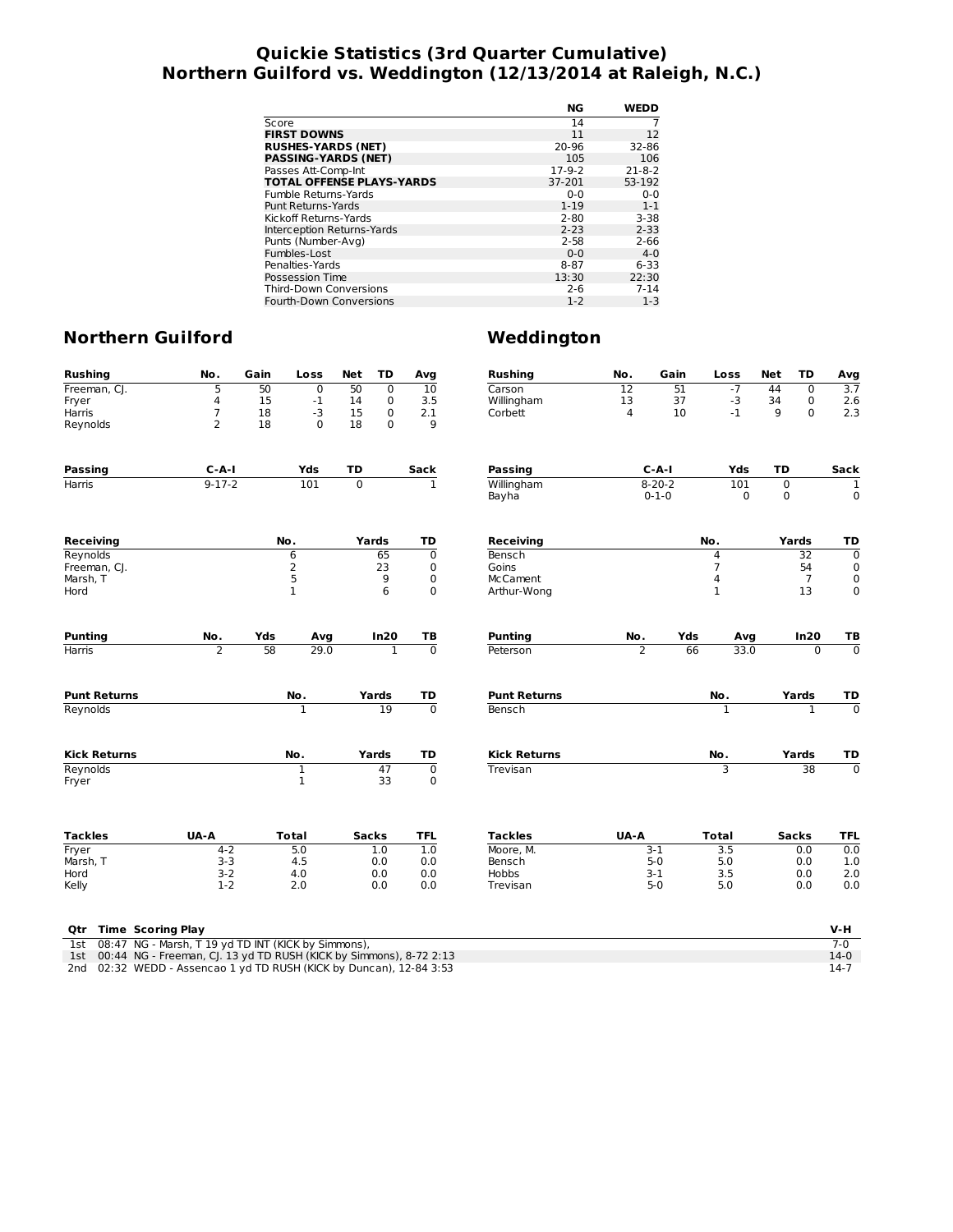### **Quickie Statistics (3rd Quarter Cumulative) Northern Guilford vs. Weddington (12/13/2014 at Raleigh, N.C.)**

|                                  | NG       | <b>WEDD</b>  |
|----------------------------------|----------|--------------|
| Score                            | 14       |              |
| <b>FIRST DOWNS</b>               | 11       | 12           |
| <b>RUSHES-YARDS (NET)</b>        | 20-96    | 32-86        |
| <b>PASSING-YARDS (NET)</b>       | 105      | 106          |
| Passes Att-Comp-Int              | $17-9-2$ | $21 - 8 - 2$ |
| <b>TOTAL OFFENSE PLAYS-YARDS</b> | 37-201   | 53-192       |
| Fumble Returns-Yards             | $0 - 0$  | $0 - 0$      |
| <b>Punt Returns-Yards</b>        | $1 - 19$ | $1 - 1$      |
| Kickoff Returns-Yards            | $2 - 80$ | $3 - 38$     |
| Interception Returns-Yards       | $2 - 23$ | $2 - 33$     |
| Punts (Number-Avg)               | $2 - 58$ | $2 - 66$     |
| Fumbles-Lost                     | $0 - 0$  | $4 - 0$      |
| Penalties-Yards                  | 8-87     | $6 - 33$     |
| Possession Time                  | 13:30    | 22:30        |
| <b>Third-Down Conversions</b>    | $2 - 6$  | $7 - 14$     |
| Fourth-Down Conversions          | $1 - 2$  | $1-3$        |

# **Northern Guilford Weddington**

| <b>Rushing</b>                                                    | No.                                                 | Gain | Loss         | Net      | TD             | Avg            | <b>Rushing</b>      | No.             | Gain         |     | Loss             | Net         | TD              | Avg              |
|-------------------------------------------------------------------|-----------------------------------------------------|------|--------------|----------|----------------|----------------|---------------------|-----------------|--------------|-----|------------------|-------------|-----------------|------------------|
| Freeman, CJ.                                                      | 5                                                   | 50   | $\mathbf 0$  | 50       | $\mathbf 0$    | 10             | Carson              | $\overline{12}$ |              | 51  | $-7$             | 44          | $\mathbf 0$     | $\overline{3.7}$ |
| Fryer                                                             | 4                                                   | 15   | $^{\rm -1}$  | 14       | $\mathbf 0$    | 3.5            | Willingham          | 13              |              | 37  | $-3$             | 34          | $\mathbf 0$     | 2.6              |
| Harris                                                            | 7                                                   | 18   | $-3$         | 15       | 0              | 2.1            | Corbett             | $\overline{4}$  |              | 10  | $-1$             | 9           | $\Omega$        | 2.3              |
| Reynolds                                                          | $\overline{2}$                                      | 18   | $\Omega$     | 18       | $\mathbf 0$    | 9              |                     |                 |              |     |                  |             |                 |                  |
| <b>Passing</b>                                                    | $C - A - I$                                         |      | Yds          | TD       |                | Sack           | <b>Passing</b>      |                 | $C-A-I$      |     | Yds              | TD          |                 | Sack             |
| <b>Harris</b>                                                     | $9 - 17 - 2$                                        |      | 101          | $\Omega$ |                | $\mathbf{1}$   | Willingham          |                 | $8 - 20 - 2$ |     | 101              | $\mathbf 0$ |                 | 1                |
|                                                                   |                                                     |      |              |          |                |                | Bayha               |                 | $0 - 1 - 0$  |     | 0                | 0           |                 | $\mathbf 0$      |
| <b>Receiving</b>                                                  |                                                     |      | No.          |          | Yards          | TD             | <b>Receiving</b>    |                 |              | No. |                  |             | Yards           | TD               |
| Reynolds                                                          |                                                     |      | 6            |          | 65             | $\mathbf 0$    | Bensch              |                 |              |     | 4                |             | $\overline{32}$ | $\overline{0}$   |
| Freeman, CJ.                                                      |                                                     |      | $\mathsf{2}$ |          | 23             | 0              | Goins               |                 |              |     | $\overline{7}$   |             | 54              | $\mathbf 0$      |
| Marsh, T                                                          |                                                     |      | 5            |          | 9              | $\mathbf 0$    | <b>McCament</b>     |                 |              |     | 4                |             | $\overline{7}$  | 0                |
| Hord                                                              |                                                     |      | $\mathbf{1}$ |          | 6              | $\mathbf 0$    | Arthur-Wong         |                 |              |     | $\mathbf{1}$     |             | 13              | $\mathbf 0$      |
| <b>Punting</b>                                                    | No.                                                 | Yds  | Avg          |          | In20           | TB             | <b>Punting</b>      | No.             |              | Yds | Avg              |             | In20            | ТB               |
| Harris                                                            | $\overline{2}$                                      | 58   | 29.0         |          | $\overline{1}$ | $\overline{0}$ | Peterson            | $\overline{2}$  |              | 66  | 33.0             |             | $\overline{0}$  | $\overline{0}$   |
|                                                                   |                                                     |      |              |          |                |                |                     |                 |              |     |                  |             |                 |                  |
| <b>Punt Returns</b>                                               |                                                     |      | No.          |          | Yards          | TD             | <b>Punt Returns</b> |                 |              |     | No.              |             | Yards           | TD               |
| Reynolds                                                          |                                                     |      | ī            |          | 19             | $\overline{0}$ | Bensch              |                 |              |     | $\overline{1}$   |             | $\mathbf{1}$    | $\overline{0}$   |
| <b>Kick Returns</b>                                               |                                                     |      | No.          |          | Yards          | TD             | <b>Kick Returns</b> |                 |              |     | No.              |             | Yards           | TD               |
| Reynolds                                                          |                                                     |      | 1            |          | 47             | $\overline{0}$ | Trevisan            |                 |              |     | 3                |             | $\overline{38}$ | $\overline{0}$   |
| Fryer                                                             |                                                     |      | $\mathbf{1}$ |          | 33             | $\mathbf 0$    |                     |                 |              |     |                  |             |                 |                  |
| <b>Tackles</b>                                                    | UA-A                                                |      | <b>Total</b> |          | <b>Sacks</b>   | <b>TFL</b>     | <b>Tackles</b>      | UA-A            |              |     | <b>Total</b>     |             | <b>Sacks</b>    | <b>TFL</b>       |
| Fryer                                                             | $4 - 2$                                             |      | 5.0          |          | 1.0            | 1.0            | Moore. M.           |                 | $3-1$        |     | $\overline{3.5}$ |             | 0.0             | 0.0              |
| Marsh, T                                                          | $3 - 3$                                             |      | 4.5          |          | 0.0            | 0.0            | Bensch              |                 | $5-0$        |     | 5.0              |             | 0.0             | 1.0              |
| Hord                                                              | $3 - 2$                                             |      | 4.0          |          | 0.0            | 0.0            | Hobbs               |                 | $3 - 1$      |     | 3.5              |             | 0.0             | 2.0              |
| Kelly                                                             | $1-2$                                               |      | 2.0          |          | 0.0            | 0.0            | Trevisan            |                 | $5 - 0$      |     | 5.0              |             | 0.0             | 0.0              |
| <b>Time Scoring Play</b><br>Otr                                   |                                                     |      |              |          |                |                |                     |                 |              |     |                  |             |                 | V-H              |
| 1st                                                               | 08:47 NG - Marsh, T 19 yd TD INT (KICK by Simmons), |      |              |          |                |                |                     |                 |              |     |                  |             |                 | $7-0$            |
| 1ct 00:44 NC Freeman CL 13 ud TD BUCH (VICK by Cimmons) 8 73 3:13 |                                                     |      |              |          |                |                |                     |                 |              |     |                  |             |                 | 110              |

1st 00:44 NG - Freeman, CJ. 13 yd TD RUSH (KICK by Simmons), 8-72 2:13 14 14 15 14:0 12:13 14:0 12:13 14:0 12:13 14:0 12:13 14:0 12:32 WEDD - Assencao 1 yd TD RUSH (KICK by Duncan), 12-84 3:53 14:0 14:7 14:7 14:7 14:7 14:7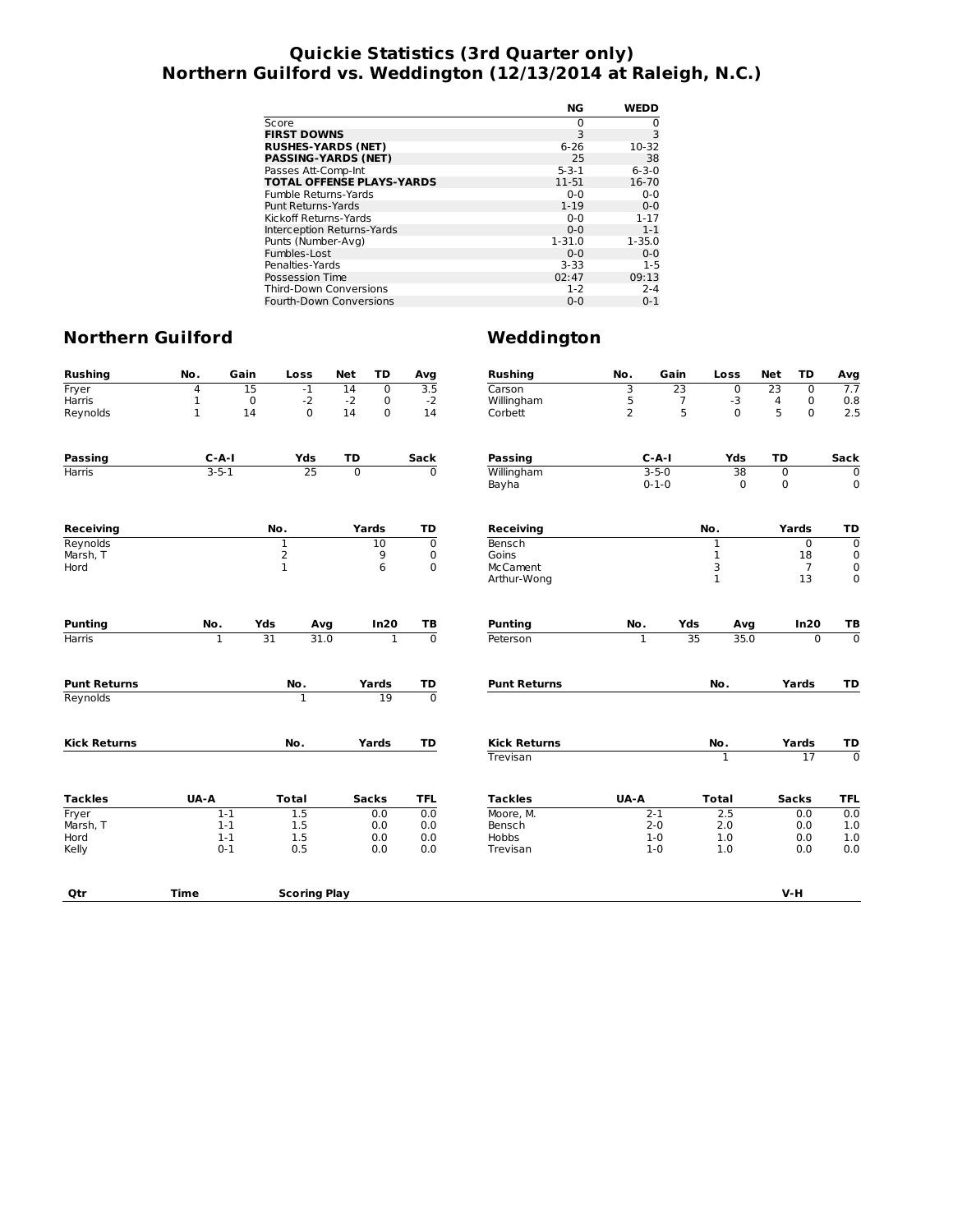## **Quickie Statistics (3rd Quarter only) Northern Guilford vs. Weddington (12/13/2014 at Raleigh, N.C.)**

|                                  | NG          | <b>WEDD</b> |
|----------------------------------|-------------|-------------|
| Score                            | 0           | 0           |
| <b>FIRST DOWNS</b>               | 3           | 3           |
| <b>RUSHES-YARDS (NET)</b>        | 6-26        | 10-32       |
| <b>PASSING-YARDS (NET)</b>       | 25          | 38          |
| Passes Att-Comp-Int              | $5 - 3 - 1$ | $6 - 3 - 0$ |
| <b>TOTAL OFFENSE PLAYS-YARDS</b> | 11-51       | 16-70       |
| Fumble Returns-Yards             | $0 - 0$     | $0 - 0$     |
| Punt Returns-Yards               | $1 - 19$    | $0 - 0$     |
| Kickoff Returns-Yards            | $0 - 0$     | $1 - 17$    |
| Interception Returns-Yards       | $0 - 0$     | $1 - 1$     |
| Punts (Number-Avg)               | $1 - 31.0$  | $1 - 35.0$  |
| Fumbles-Lost                     | $0 - 0$     | $0 - 0$     |
| Penalties-Yards                  | $3 - 33$    | $1 - 5$     |
| Possession Time                  | 02:47       | 09:13       |
| <b>Third-Down Conversions</b>    | $1 - 2$     | $2 - 4$     |
| Fourth-Down Conversions          | $0 - 0$     | $0 - 1$     |

| <b>Rushing</b>      | No.         | Gain        | Loss                                  | <b>Net</b>     | TD             | Avg                       | <b>Rushing</b>          | No.          | Gain        |                | Loss              | <b>Net</b>     | TD                   | Avg                        |
|---------------------|-------------|-------------|---------------------------------------|----------------|----------------|---------------------------|-------------------------|--------------|-------------|----------------|-------------------|----------------|----------------------|----------------------------|
| Fryer               | 4           | 15          | $-1$                                  | 14             | $\mathbf 0$    | $\overline{3.5}$          | Carson                  | 3            |             | 23             | $\mathbf 0$       | 23             | $\mathbf 0$          | 7.7                        |
| Harris              | 1           | $\mathbf 0$ | $-2$                                  | $-2$           | $\mathbf 0$    | $-2$                      | Willingham              | 5            |             | $\overline{7}$ | $-3$              | 4              | 0                    | 0.8                        |
| Reynolds            | 1           | 14          | 0                                     | 14             | $\mathbf 0$    | 14                        | Corbett                 | 2            |             | 5              | $\mathbf 0$       | 5              | $\mathbf 0$          | 2.5                        |
| <b>Passing</b>      |             | $C - A - I$ | Yds                                   | TD             |                | Sack                      | <b>Passing</b>          |              | $C-A-I$     |                | Yds               | TD             |                      | Sack                       |
| <b>Harris</b>       |             | $3 - 5 - 1$ | $\overline{25}$                       | $\overline{0}$ |                | $\overline{0}$            | Willingham              |              | $3 - 5 - 0$ |                | $\overline{38}$   | $\overline{0}$ |                      | $\mathbf 0$                |
|                     |             |             |                                       |                |                |                           | Bayha                   |              | $0 - 1 - 0$ |                | 0                 | $\mathbf 0$    |                      | $\mathbf 0$                |
| <b>Receiving</b>    |             |             | No.                                   |                | Yards          | TD                        | Receiving               |              |             | No.            |                   |                | Yards                | TD                         |
| Reynolds            |             |             | 1                                     |                | 10             | $\mathbf 0$               | Bensch                  |              |             |                | 1                 |                | $\mathbf 0$          | $\overline{0}$             |
| Marsh, T            |             |             | $\begin{array}{c} 2 \\ 1 \end{array}$ |                | 9              | $\mathbf 0$               | Goins                   |              |             |                | $\mathbf 1$       |                | 18                   | $\mathbf 0$                |
| Hord                |             |             |                                       |                | 6              | $\mathbf 0$               | McCament<br>Arthur-Wong |              |             |                | 3<br>$\mathbf{1}$ |                | $\overline{7}$<br>13 | $\mathbf 0$<br>$\mathbf 0$ |
|                     |             |             |                                       |                |                |                           |                         |              |             |                |                   |                |                      |                            |
| <b>Punting</b>      | No.         | Yds         | Avg                                   |                | In20           | TB                        | <b>Punting</b>          | No.          |             | Yds            | Avg               |                | In20                 | TB                         |
| <b>Harris</b>       |             | 1           | $\overline{31}$<br>31.0               |                | $\overline{1}$ | $\overline{\mathfrak{o}}$ | Peterson                | $\mathbf{1}$ |             | 35             | 35.0              |                | $\overline{0}$       | $\overline{\mathfrak{o}}$  |
| <b>Punt Returns</b> |             |             | No.                                   |                | Yards          | TD                        | <b>Punt Returns</b>     |              |             |                | No.               |                | Yards                | TD                         |
| Reynolds            |             |             | 1                                     |                | 19             | $\overline{0}$            |                         |              |             |                |                   |                |                      |                            |
| <b>Kick Returns</b> |             |             | No.                                   |                | Yards          | TD                        | <b>Kick Returns</b>     |              |             |                | No.               |                | Yards                | TD                         |
|                     |             |             |                                       |                |                |                           | Trevisan                |              |             |                | $\overline{1}$    |                | 17                   | $\overline{0}$             |
| <b>Tackles</b>      | UA-A        |             | <b>Total</b>                          |                | <b>Sacks</b>   | <b>TFL</b>                | <b>Tackles</b>          | UA-A         |             |                | <b>Total</b>      |                | <b>Sacks</b>         | <b>TFL</b>                 |
| Fryer               |             | $1-1$       | 1.5                                   |                | 0.0            | 0.0                       | Moore, M.               |              | $2 - 1$     |                | 2.5               |                | 0.0                  | 0.0                        |
| Marsh, T            |             | $1 - 1$     | 1.5                                   |                | 0.0            | 0.0                       | Bensch                  |              | $2 - 0$     |                | 2.0               |                | 0.0                  | 1.0                        |
| Hord                |             | $1 - 1$     | 1.5                                   |                | 0.0            | 0.0                       | <b>Hobbs</b>            |              | $1 - 0$     |                | 1.0               |                | 0.0                  | 1.0                        |
| Kelly               |             | $0 - 1$     | 0.5                                   |                | 0.0            | 0.0                       | Trevisan                |              | $1 - 0$     |                | 1.0               |                | 0.0                  | 0.0                        |
| Qtr                 | <b>Time</b> |             | <b>Scoring Play</b>                   |                |                |                           |                         |              |             |                |                   |                | V-H                  |                            |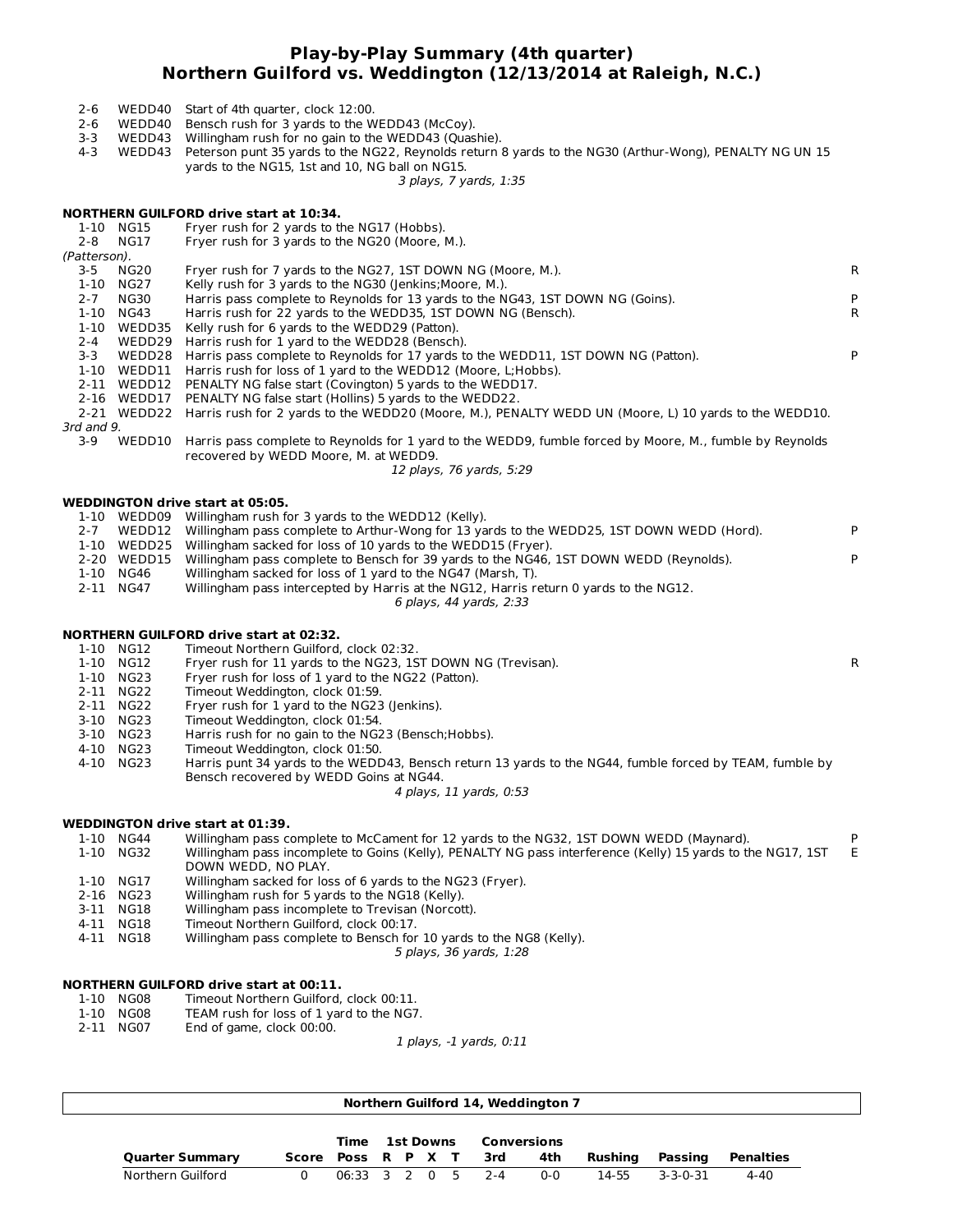## **Play-by-Play Summary (4th quarter) Northern Guilford vs. Weddington (12/13/2014 at Raleigh, N.C.)**

- 2-6 WEDD40 Start of 4th quarter, clock 12:00.
- 2-6 WEDD40 Bensch rush for 3 yards to the WEDD43 (McCoy).
- 3-3 WEDD43 Willingham rush for no gain to the WEDD43 (Quashie).
- 4-3 WEDD43 Peterson punt 35 yards to the NG22, Reynolds return 8 yards to the NG30 (Arthur-Wong), PENALTY NG UN 15 yards to the NG15, 1st and 10, NG ball on NG15.

3 plays, 7 yards, 1:35

#### **NORTHERN GUILFORD drive start at 10:34.**

| 1-10         | NG15        | Fryer rush for 2 yards to the NG17 (Hobbs).                                                              |    |
|--------------|-------------|----------------------------------------------------------------------------------------------------------|----|
| $2 - 8$      | NG17        | Fryer rush for 3 yards to the NG20 (Moore, M.).                                                          |    |
| (Patterson). |             |                                                                                                          |    |
| 3-5          | NG20        | Fryer rush for 7 yards to the NG27, 1ST DOWN NG (Moore, M.).                                             | R. |
| $1 - 10$     | NG27        | Kelly rush for 3 yards to the NG30 (Jenkins; Moore, M.).                                                 |    |
| $2 - 7$      | NG30        | Harris pass complete to Reynolds for 13 yards to the NG43, 1ST DOWN NG (Goins).                          |    |
| $1 - 10$     | NG43        | Harris rush for 22 yards to the WEDD35, 1ST DOWN NG (Bensch).                                            | R. |
| 1-10         | WEDD35      | Kelly rush for 6 yards to the WEDD29 (Patton).                                                           |    |
| $2 - 4$      | WEDD29      | Harris rush for 1 yard to the WEDD28 (Bensch).                                                           |    |
| $3 - 3$      | WEDD28      | Harris pass complete to Reynolds for 17 yards to the WEDD11, 1ST DOWN NG (Patton).                       |    |
| 1-10         | WEDD11      | Harris rush for loss of 1 yard to the WEDD12 (Moore, L; Hobbs).                                          |    |
| 2-11         |             | WEDD12 PENALTY NG false start (Covington) 5 yards to the WEDD17.                                         |    |
| $2 - 16$     | WEDD17      | PENALTY NG false start (Hollins) 5 yards to the WEDD22.                                                  |    |
|              | 2-21 WEDD22 | Harris rush for 2 yards to the WEDD20 (Moore, M.), PENALTY WEDD UN (Moore, L) 10 yards to the WEDD10.    |    |
| 3rd and 9.   |             |                                                                                                          |    |
| $3-9$        | WEDD10      | Harris pass complete to Reynolds for 1 yard to the WEDD9, fumble forced by Moore, M., fumble by Reynolds |    |
|              |             | recovered by WEDD Moore, M. at WEDD9.                                                                    |    |
|              |             |                                                                                                          |    |

12 plays, 76 yards, 5:29

#### **WEDDINGTON drive start at 05:05.**

| 1-10    | WEDD09      | Willingham rush for 3 yards to the WEDD12 (Kelly).                                        |    |
|---------|-------------|-------------------------------------------------------------------------------------------|----|
| $2 - 7$ | WEDD12      | Willingham pass complete to Arthur-Wong for 13 yards to the WEDD25, 1ST DOWN WEDD (Hord). | P. |
| 1-10    | WEDD25      | Willingham sacked for loss of 10 yards to the WEDD15 (Fryer).                             |    |
|         | 2-20 WEDD15 | Willingham pass complete to Bensch for 39 yards to the NG46, 1ST DOWN WEDD (Reynolds).    | P. |
|         | 1-10 NG46   | Willingham sacked for loss of 1 yard to the NG47 (Marsh, T).                              |    |
|         | 2-11 NG47   | Willingham pass intercepted by Harris at the NG12, Harris return 0 yards to the NG12.     |    |
|         |             | 6 plays, 44 yards, 2:33                                                                   |    |
|         |             |                                                                                           |    |
|         |             |                                                                                           |    |

#### **NORTHERN GUILFORD drive start at 02:32.** 1-10 NG12 Timeout Northern Guilford, clock 02:32.

| T-TA MATS | Thriedul Northern Guillord, Clock 02:32.                     |  |
|-----------|--------------------------------------------------------------|--|
| 1-10 NG12 | Fryer rush for 11 yards to the NG23, 1ST DOWN NG (Trevisan). |  |

- 1-10 NG23 Fryer rush for loss of 1 yard to the NG22 (Patton).
- 2-11 NG22 Timeout Weddington, clock 01:59.
- 2-11 NG22 Fryer rush for 1 yard to the NG23 (Jenkins).<br>3-10 NG23 Timeout Weddington, clock 01:54.
- 3-10 NG23 Timeout Weddington, clock 01:54.<br>3-10 NG23 Harris rush for no gain to the NG2
- Harris rush for no gain to the NG23 (Bensch;Hobbs).
- 4-10 NG23 Timeout Weddington, clock 01:50.
- 4-10 NG23 Harris punt 34 yards to the WEDD43, Bensch return 13 yards to the NG44, fumble forced by TEAM, fumble by Bensch recovered by WEDD Goins at NG44.
	- 4 plays, 11 yards, 0:53

#### **WEDDINGTON drive start at 01:39.**

| 1-10 NG44 | Willingham pass complete to McCament for 12 yards to the NG32, 1ST DOWN WEDD (Maynard).                     |   |
|-----------|-------------------------------------------------------------------------------------------------------------|---|
| 1-10 NG32 | Willingham pass incomplete to Goins (Kelly), PENALTY NG pass interference (Kelly) 15 yards to the NG17, 1ST | E |
|           | DOWN WEDD, NO PLAY.                                                                                         |   |
| 1-10 NG17 | Willingham sacked for loss of 6 yards to the NG23 (Fryer).                                                  |   |
| 2-16 NG23 | Willingham rush for 5 yards to the NG18 (Kelly).                                                            |   |

- 
- 3-11 NG18 Willingham pass incomplete to Trevisan (Norcott).<br>4-11 NG18 Timeout Northern Guilford, clock 00:17. Timeout Northern Guilford, clock 00:17.
- 4-11 NG18 Willingham pass complete to Bensch for 10 yards to the NG8 (Kelly).

5 plays, 36 yards, 1:28

# **NORTHERN GUILFORD drive start at 00:11.**

- Timeout Northern Guilford, clock 00:11.
- 1-10 NG08 TEAM rush for loss of 1 yard to the NG7.<br>2-11 NG07 End of game, clock 00:00.
- End of game, clock 00:00.

1 plays, -1 yards, 0:11

| Northern Guilford 14, Weddington 7 |                    |               |  |  |                  |  |     |             |         |                  |                  |
|------------------------------------|--------------------|---------------|--|--|------------------|--|-----|-------------|---------|------------------|------------------|
|                                    |                    | Time          |  |  | <b>1st Downs</b> |  |     | Conversions |         |                  |                  |
| <b>Quarter Summary</b>             | Score Poss R P X T |               |  |  |                  |  | 3rd | 4th         | Rushina | Passing          | <b>Penalties</b> |
| Northern Guilford                  |                    | 06:33 3 2 0 5 |  |  |                  |  | 2-4 | $0 - 0$     | 14-55   | $3 - 3 - 0 - 31$ | $4 - 40$         |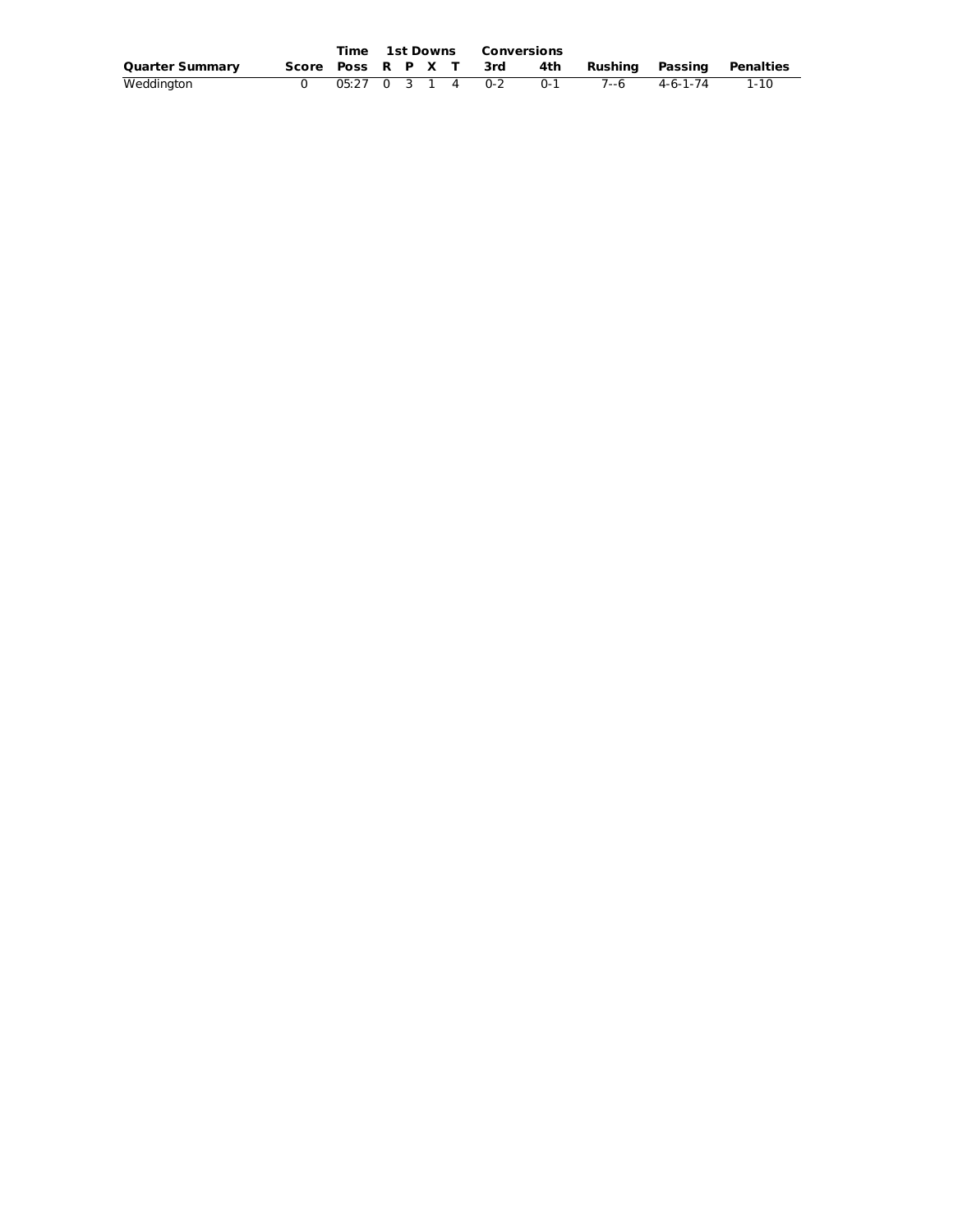|                        |  |  |  | <b>Time 1st Downs Conversions</b> |       |               |                                                      |
|------------------------|--|--|--|-----------------------------------|-------|---------------|------------------------------------------------------|
| <b>Quarter Summary</b> |  |  |  |                                   |       |               | Score Poss R P X T 3rd 4th Rushing Passing Penalties |
| Weddington             |  |  |  | 05:27 0 3 1 4 0-2                 | $0-1$ | 7--6 4-6-1-74 | 1-10                                                 |